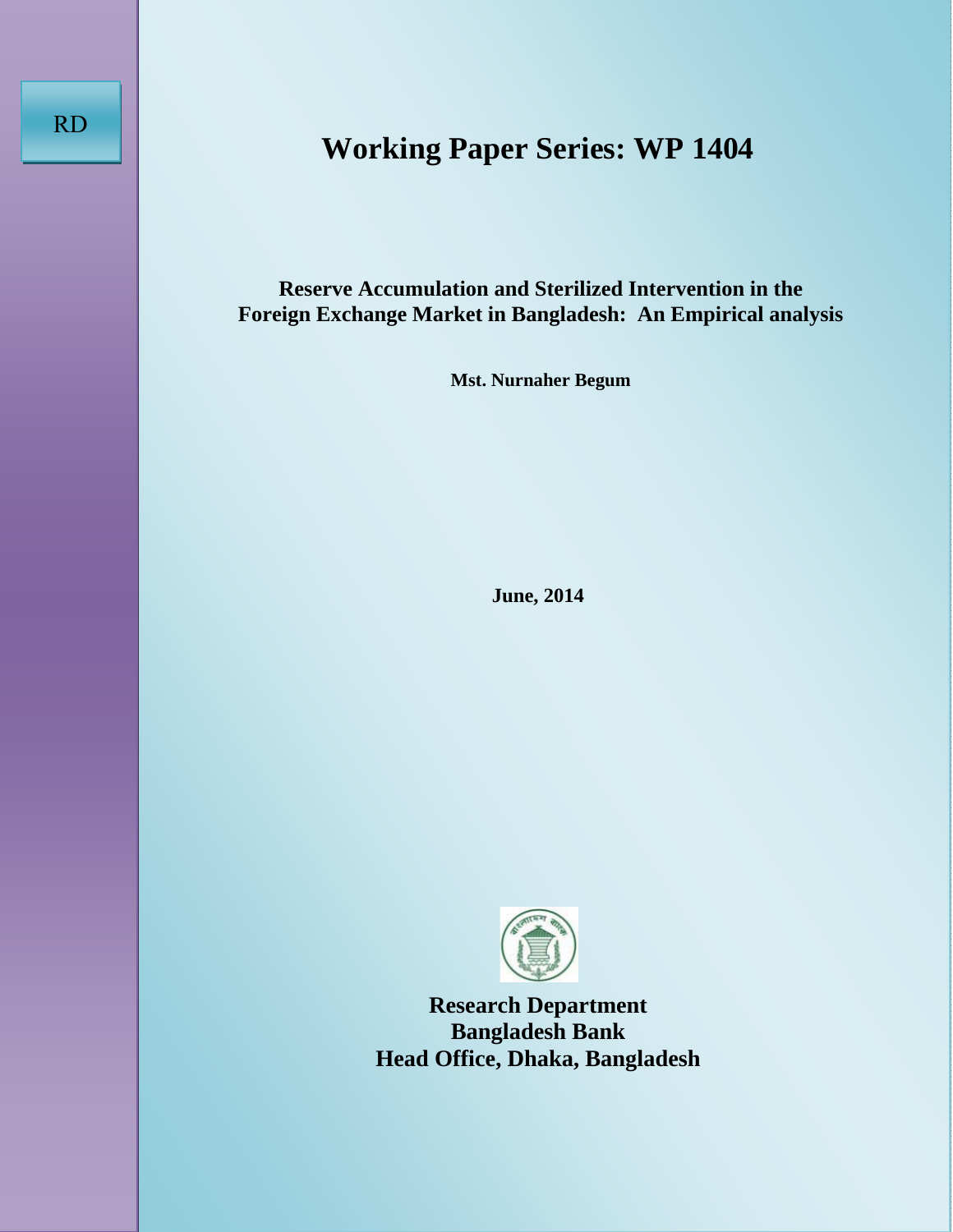# **Working Paper Series: WP 1404**

**Reserve Accumulation and Sterilized Intervention in the Foreign Exchange Market in Bangladesh: An Empirical analysis** 

**Mst. Nurnaher Begum** 

**June, 2014** 



**Research Department Bangladesh Bank Head Office, Dhaka, Bangladesh**

RD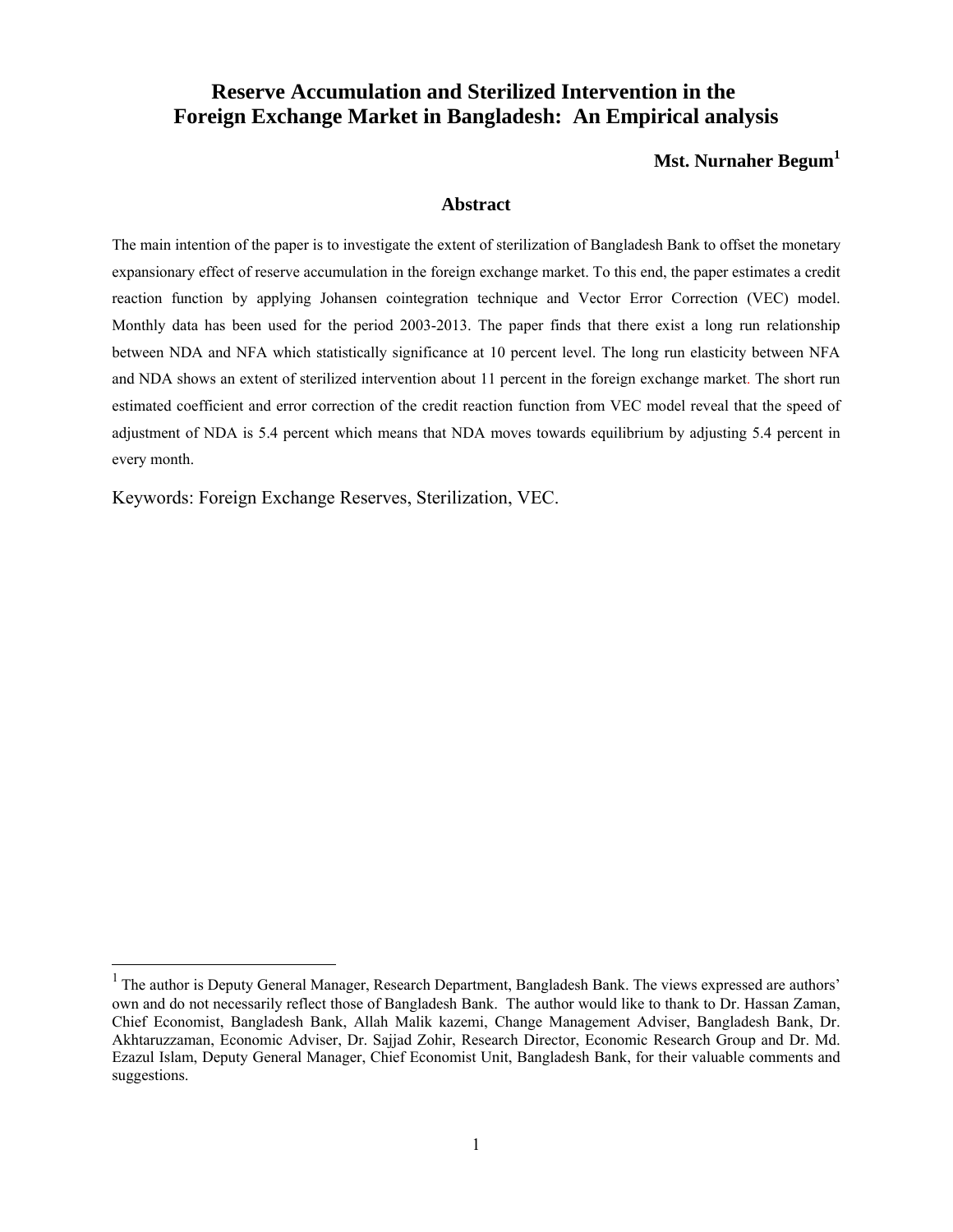# **Reserve Accumulation and Sterilized Intervention in the Foreign Exchange Market in Bangladesh: An Empirical analysis**

#### **Mst. Nurnaher Begum<sup>1</sup>**

#### **Abstract**

The main intention of the paper is to investigate the extent of sterilization of Bangladesh Bank to offset the monetary expansionary effect of reserve accumulation in the foreign exchange market. To this end, the paper estimates a credit reaction function by applying Johansen cointegration technique and Vector Error Correction (VEC) model. Monthly data has been used for the period 2003-2013. The paper finds that there exist a long run relationship between NDA and NFA which statistically significance at 10 percent level. The long run elasticity between NFA and NDA shows an extent of sterilized intervention about 11 percent in the foreign exchange market. The short run estimated coefficient and error correction of the credit reaction function from VEC model reveal that the speed of adjustment of NDA is 5.4 percent which means that NDA moves towards equilibrium by adjusting 5.4 percent in every month.

Keywords: Foreign Exchange Reserves, Sterilization, VEC.

 $\overline{a}$ 

<sup>&</sup>lt;sup>1</sup> The author is Deputy General Manager, Research Department, Bangladesh Bank. The views expressed are authors' own and do not necessarily reflect those of Bangladesh Bank. The author would like to thank to Dr. Hassan Zaman, Chief Economist, Bangladesh Bank, Allah Malik kazemi, Change Management Adviser, Bangladesh Bank, Dr. Akhtaruzzaman, Economic Adviser, Dr. Sajjad Zohir, Research Director, Economic Research Group and Dr. Md. Ezazul Islam, Deputy General Manager, Chief Economist Unit, Bangladesh Bank, for their valuable comments and suggestions.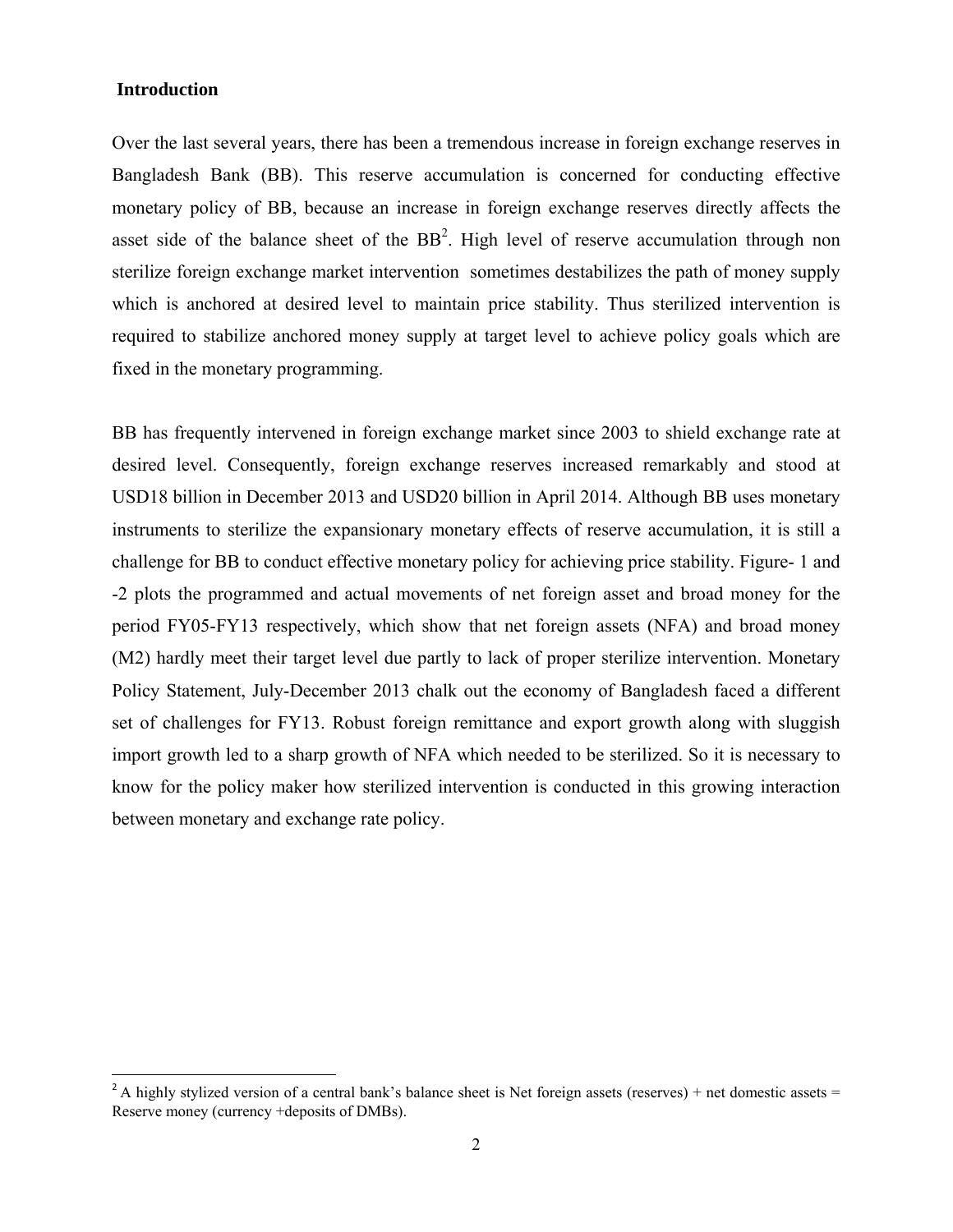### **Introduction**

1

Over the last several years, there has been a tremendous increase in foreign exchange reserves in Bangladesh Bank (BB). This reserve accumulation is concerned for conducting effective monetary policy of BB, because an increase in foreign exchange reserves directly affects the asset side of the balance sheet of the  $BB<sup>2</sup>$ . High level of reserve accumulation through non sterilize foreign exchange market intervention sometimes destabilizes the path of money supply which is anchored at desired level to maintain price stability. Thus sterilized intervention is required to stabilize anchored money supply at target level to achieve policy goals which are fixed in the monetary programming.

BB has frequently intervened in foreign exchange market since 2003 to shield exchange rate at desired level. Consequently, foreign exchange reserves increased remarkably and stood at USD18 billion in December 2013 and USD20 billion in April 2014. Although BB uses monetary instruments to sterilize the expansionary monetary effects of reserve accumulation, it is still a challenge for BB to conduct effective monetary policy for achieving price stability. Figure- 1 and -2 plots the programmed and actual movements of net foreign asset and broad money for the period FY05-FY13 respectively, which show that net foreign assets (NFA) and broad money (M2) hardly meet their target level due partly to lack of proper sterilize intervention. Monetary Policy Statement, July-December 2013 chalk out the economy of Bangladesh faced a different set of challenges for FY13. Robust foreign remittance and export growth along with sluggish import growth led to a sharp growth of NFA which needed to be sterilized. So it is necessary to know for the policy maker how sterilized intervention is conducted in this growing interaction between monetary and exchange rate policy.

<sup>&</sup>lt;sup>2</sup> A highly stylized version of a central bank's balance sheet is Net foreign assets (reserves) + net domestic assets = Reserve money (currency +deposits of DMBs).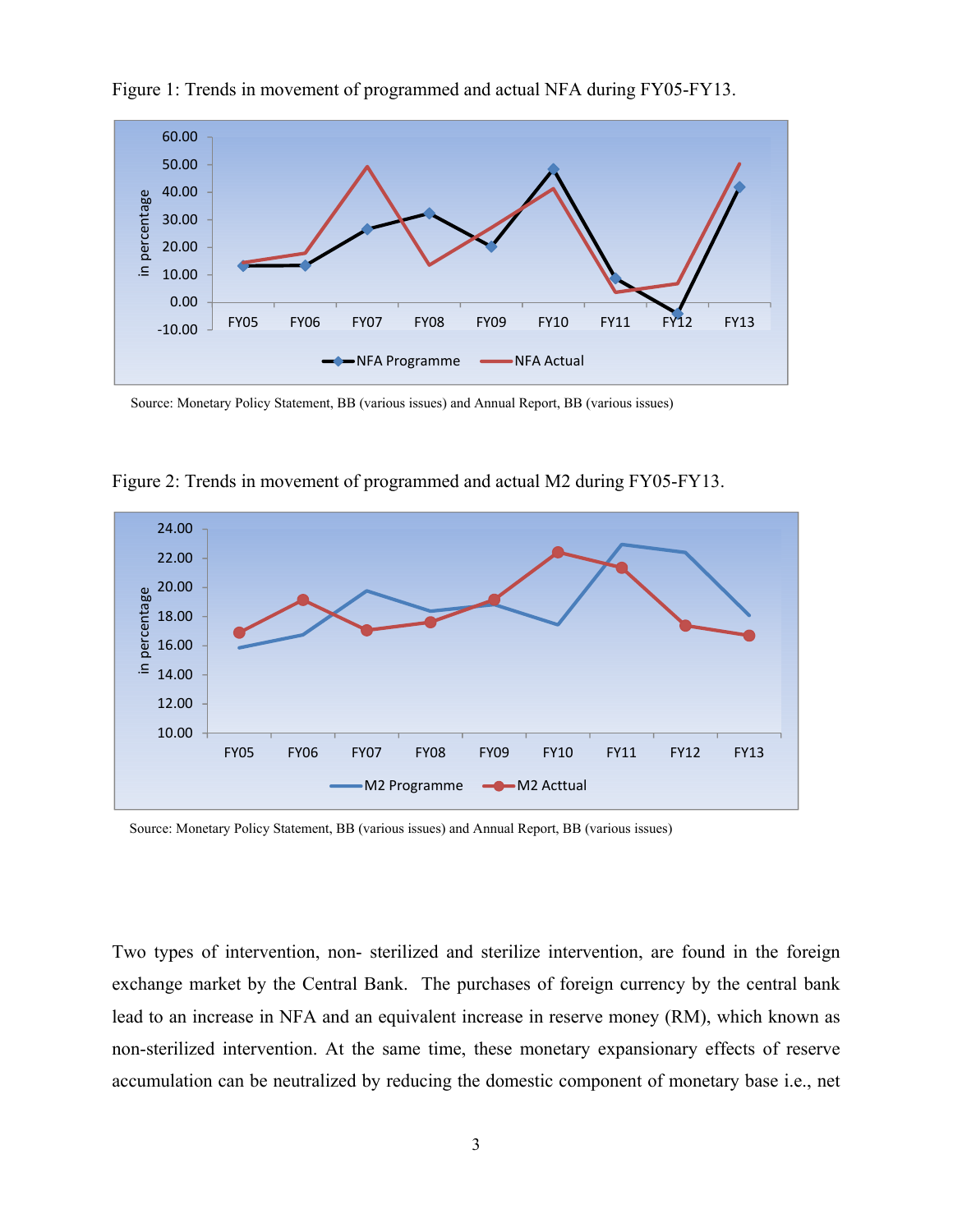

Figure 1: Trends in movement of programmed and actual NFA during FY05-FY13.

Source: Monetary Policy Statement, BB (various issues) and Annual Report, BB (various issues)



Figure 2: Trends in movement of programmed and actual M2 during FY05-FY13.

Source: Monetary Policy Statement, BB (various issues) and Annual Report, BB (various issues)

Two types of intervention, non- sterilized and sterilize intervention, are found in the foreign exchange market by the Central Bank. The purchases of foreign currency by the central bank lead to an increase in NFA and an equivalent increase in reserve money (RM), which known as non-sterilized intervention. At the same time, these monetary expansionary effects of reserve accumulation can be neutralized by reducing the domestic component of monetary base i.e., net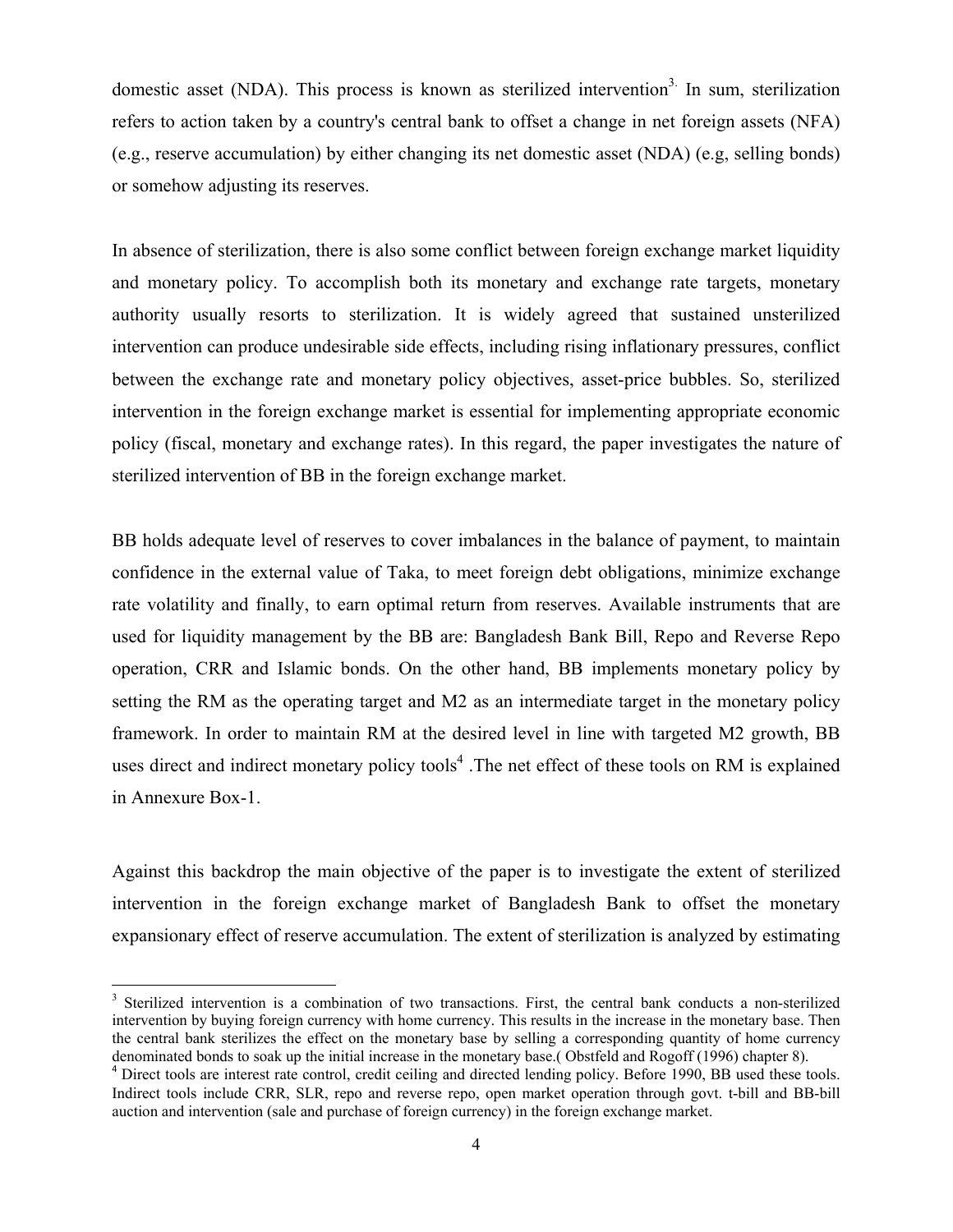domestic asset (NDA). This process is known as sterilized intervention<sup>3.</sup> In sum, sterilization refers to action taken by a country's central bank to offset a change in net foreign assets (NFA) (e.g., reserve accumulation) by either changing its net domestic asset (NDA) (e.g, selling bonds) or somehow adjusting its reserves.

In absence of sterilization, there is also some conflict between foreign exchange market liquidity and monetary policy. To accomplish both its monetary and exchange rate targets, monetary authority usually resorts to sterilization. It is widely agreed that sustained unsterilized intervention can produce undesirable side effects, including rising inflationary pressures, conflict between the exchange rate and monetary policy objectives, asset-price bubbles. So, sterilized intervention in the foreign exchange market is essential for implementing appropriate economic policy (fiscal, monetary and exchange rates). In this regard, the paper investigates the nature of sterilized intervention of BB in the foreign exchange market.

BB holds adequate level of reserves to cover imbalances in the balance of payment, to maintain confidence in the external value of Taka, to meet foreign debt obligations, minimize exchange rate volatility and finally, to earn optimal return from reserves. Available instruments that are used for liquidity management by the BB are: Bangladesh Bank Bill, Repo and Reverse Repo operation, CRR and Islamic bonds. On the other hand, BB implements monetary policy by setting the RM as the operating target and M2 as an intermediate target in the monetary policy framework. In order to maintain RM at the desired level in line with targeted M2 growth, BB uses direct and indirect monetary policy tools<sup>4</sup>. The net effect of these tools on RM is explained in Annexure Box-1.

Against this backdrop the main objective of the paper is to investigate the extent of sterilized intervention in the foreign exchange market of Bangladesh Bank to offset the monetary expansionary effect of reserve accumulation. The extent of sterilization is analyzed by estimating

 $\overline{a}$ 

<sup>&</sup>lt;sup>3</sup> Sterilized intervention is a combination of two transactions. First, the central bank conducts a non-sterilized intervention by buying foreign currency with home currency. This results in the increase in the monetary base. Then the central bank sterilizes the effect on the monetary base by selling a corresponding quantity of home currency denominated bonds to soak up the initial increase in the monetary base.( Obstfeld and Rogoff (1996) chapter 8).

<sup>&</sup>lt;sup>4</sup> Direct tools are interest rate control, credit ceiling and directed lending policy. Before 1990, BB used these tools. Indirect tools include CRR, SLR, repo and reverse repo, open market operation through govt. t-bill and BB-bill auction and intervention (sale and purchase of foreign currency) in the foreign exchange market.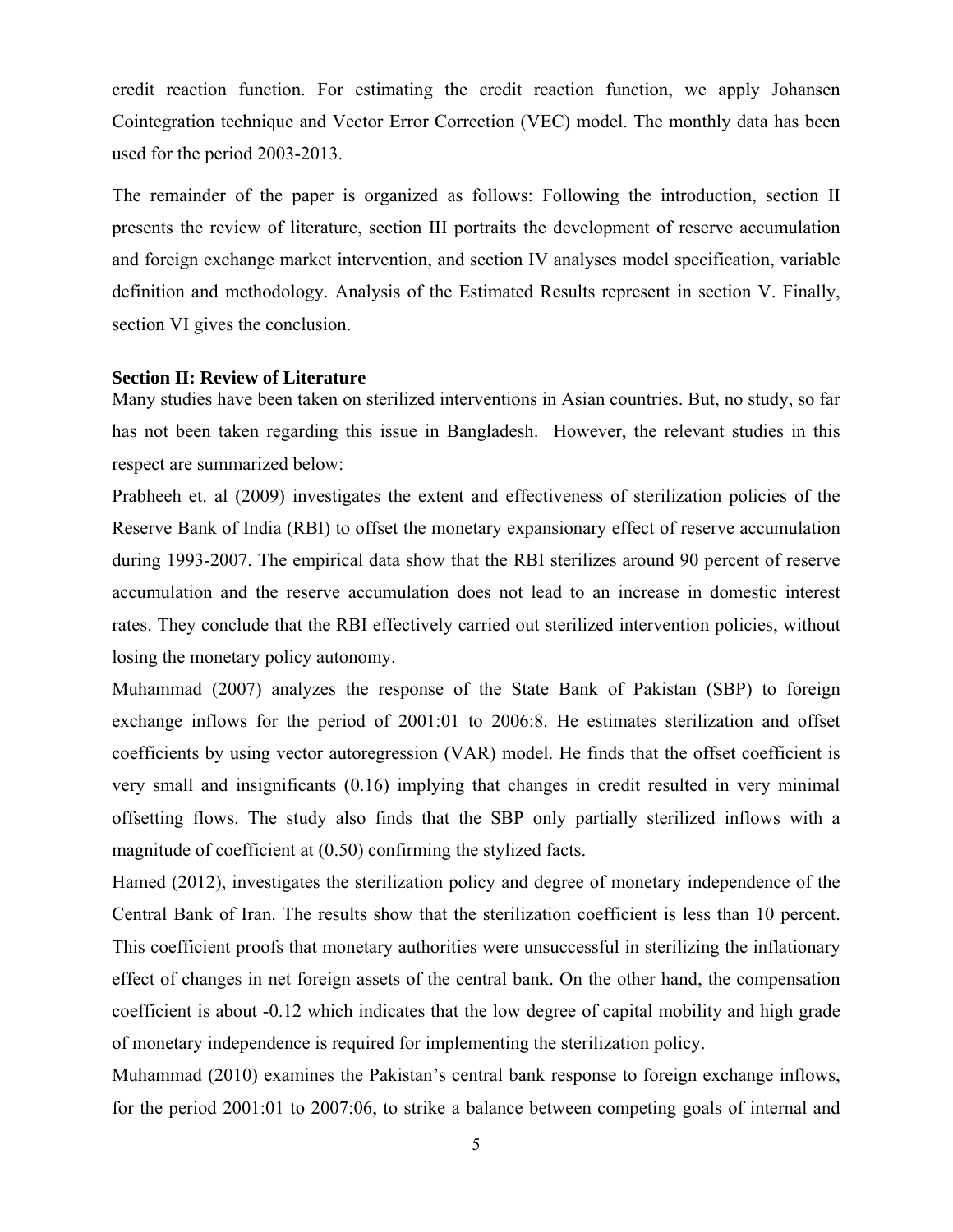credit reaction function. For estimating the credit reaction function, we apply Johansen Cointegration technique and Vector Error Correction (VEC) model. The monthly data has been used for the period 2003-2013.

The remainder of the paper is organized as follows: Following the introduction, section II presents the review of literature, section III portraits the development of reserve accumulation and foreign exchange market intervention, and section IV analyses model specification, variable definition and methodology. Analysis of the Estimated Results represent in section V. Finally, section VI gives the conclusion.

#### **Section II: Review of Literature**

Many studies have been taken on sterilized interventions in Asian countries. But, no study, so far has not been taken regarding this issue in Bangladesh. However, the relevant studies in this respect are summarized below:

Prabheeh et. al (2009) investigates the extent and effectiveness of sterilization policies of the Reserve Bank of India (RBI) to offset the monetary expansionary effect of reserve accumulation during 1993-2007. The empirical data show that the RBI sterilizes around 90 percent of reserve accumulation and the reserve accumulation does not lead to an increase in domestic interest rates. They conclude that the RBI effectively carried out sterilized intervention policies, without losing the monetary policy autonomy.

Muhammad (2007) analyzes the response of the State Bank of Pakistan (SBP) to foreign exchange inflows for the period of 2001:01 to 2006:8. He estimates sterilization and offset coefficients by using vector autoregression (VAR) model. He finds that the offset coefficient is very small and insignificants (0.16) implying that changes in credit resulted in very minimal offsetting flows. The study also finds that the SBP only partially sterilized inflows with a magnitude of coefficient at (0.50) confirming the stylized facts.

Hamed (2012), investigates the sterilization policy and degree of monetary independence of the Central Bank of Iran. The results show that the sterilization coefficient is less than 10 percent. This coefficient proofs that monetary authorities were unsuccessful in sterilizing the inflationary effect of changes in net foreign assets of the central bank. On the other hand, the compensation coefficient is about -0.12 which indicates that the low degree of capital mobility and high grade of monetary independence is required for implementing the sterilization policy.

Muhammad (2010) examines the Pakistan's central bank response to foreign exchange inflows, for the period 2001:01 to 2007:06, to strike a balance between competing goals of internal and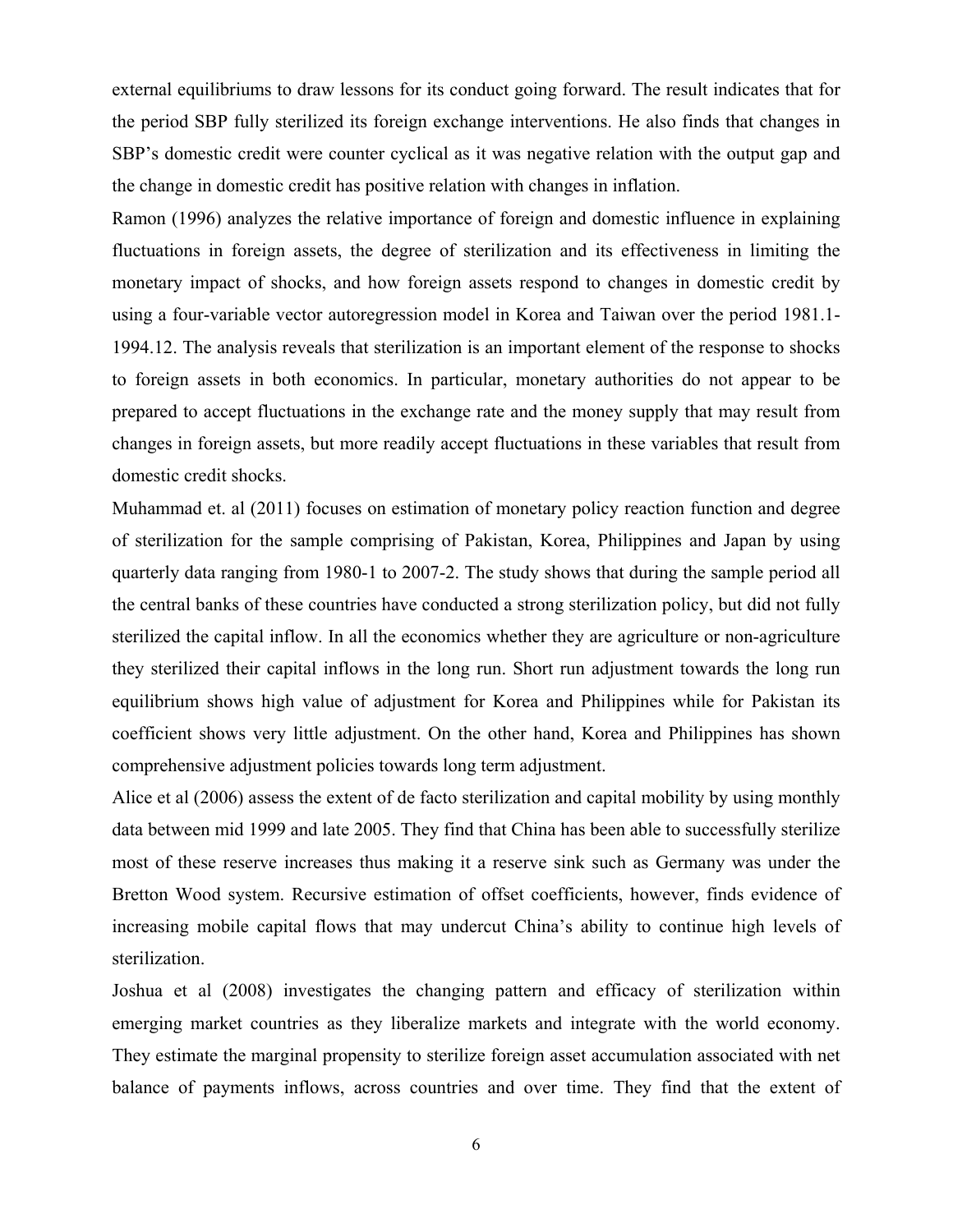external equilibriums to draw lessons for its conduct going forward. The result indicates that for the period SBP fully sterilized its foreign exchange interventions. He also finds that changes in SBP's domestic credit were counter cyclical as it was negative relation with the output gap and the change in domestic credit has positive relation with changes in inflation.

Ramon (1996) analyzes the relative importance of foreign and domestic influence in explaining fluctuations in foreign assets, the degree of sterilization and its effectiveness in limiting the monetary impact of shocks, and how foreign assets respond to changes in domestic credit by using a four-variable vector autoregression model in Korea and Taiwan over the period 1981.1- 1994.12. The analysis reveals that sterilization is an important element of the response to shocks to foreign assets in both economics. In particular, monetary authorities do not appear to be prepared to accept fluctuations in the exchange rate and the money supply that may result from changes in foreign assets, but more readily accept fluctuations in these variables that result from domestic credit shocks.

Muhammad et. al (2011) focuses on estimation of monetary policy reaction function and degree of sterilization for the sample comprising of Pakistan, Korea, Philippines and Japan by using quarterly data ranging from 1980-1 to 2007-2. The study shows that during the sample period all the central banks of these countries have conducted a strong sterilization policy, but did not fully sterilized the capital inflow. In all the economics whether they are agriculture or non-agriculture they sterilized their capital inflows in the long run. Short run adjustment towards the long run equilibrium shows high value of adjustment for Korea and Philippines while for Pakistan its coefficient shows very little adjustment. On the other hand, Korea and Philippines has shown comprehensive adjustment policies towards long term adjustment.

Alice et al (2006) assess the extent of de facto sterilization and capital mobility by using monthly data between mid 1999 and late 2005. They find that China has been able to successfully sterilize most of these reserve increases thus making it a reserve sink such as Germany was under the Bretton Wood system. Recursive estimation of offset coefficients, however, finds evidence of increasing mobile capital flows that may undercut China's ability to continue high levels of sterilization.

Joshua et al (2008) investigates the changing pattern and efficacy of sterilization within emerging market countries as they liberalize markets and integrate with the world economy. They estimate the marginal propensity to sterilize foreign asset accumulation associated with net balance of payments inflows, across countries and over time. They find that the extent of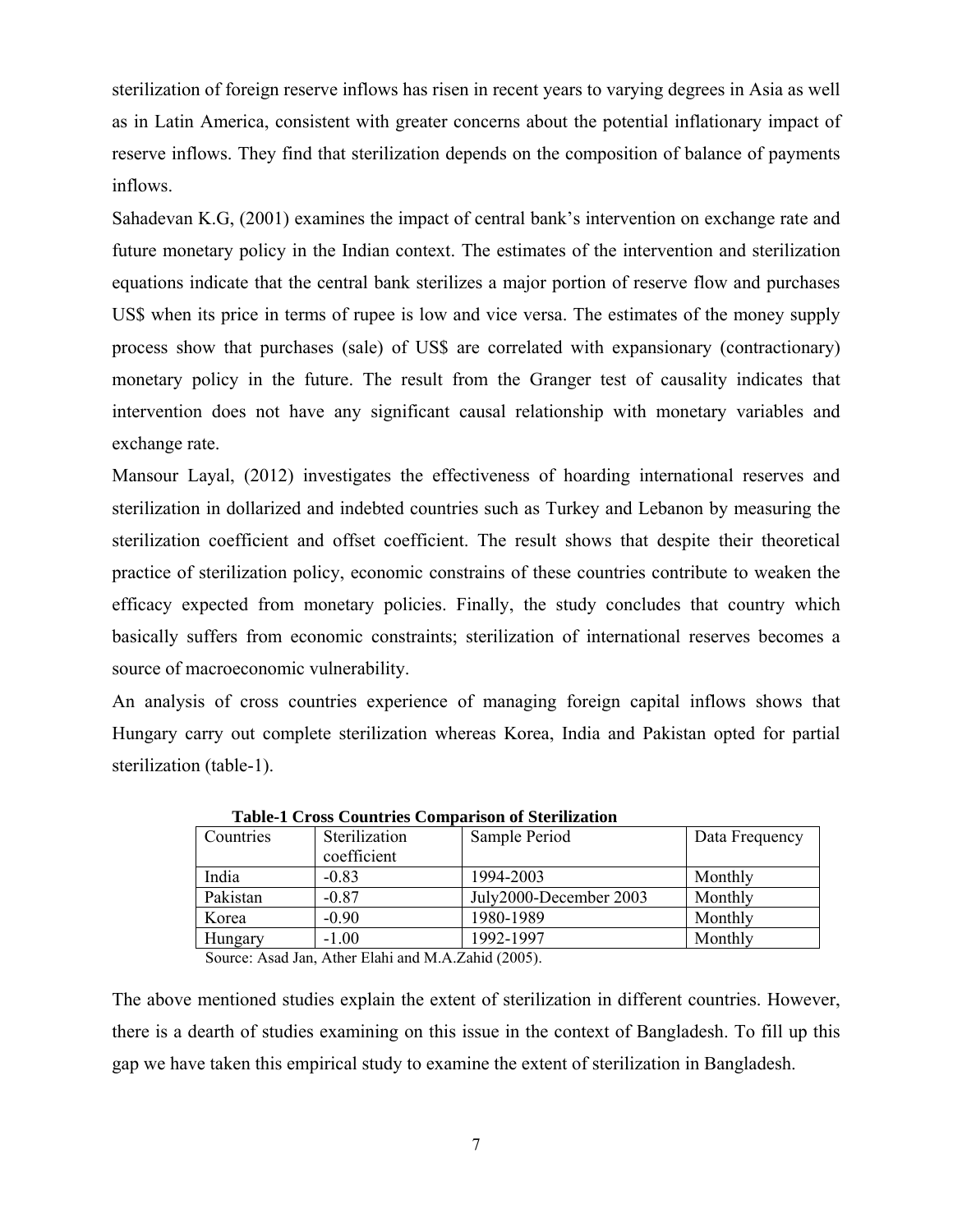sterilization of foreign reserve inflows has risen in recent years to varying degrees in Asia as well as in Latin America, consistent with greater concerns about the potential inflationary impact of reserve inflows. They find that sterilization depends on the composition of balance of payments inflows.

Sahadevan K.G, (2001) examines the impact of central bank's intervention on exchange rate and future monetary policy in the Indian context. The estimates of the intervention and sterilization equations indicate that the central bank sterilizes a major portion of reserve flow and purchases US\$ when its price in terms of rupee is low and vice versa. The estimates of the money supply process show that purchases (sale) of US\$ are correlated with expansionary (contractionary) monetary policy in the future. The result from the Granger test of causality indicates that intervention does not have any significant causal relationship with monetary variables and exchange rate.

Mansour Layal, (2012) investigates the effectiveness of hoarding international reserves and sterilization in dollarized and indebted countries such as Turkey and Lebanon by measuring the sterilization coefficient and offset coefficient. The result shows that despite their theoretical practice of sterilization policy, economic constrains of these countries contribute to weaken the efficacy expected from monetary policies. Finally, the study concludes that country which basically suffers from economic constraints; sterilization of international reserves becomes a source of macroeconomic vulnerability.

An analysis of cross countries experience of managing foreign capital inflows shows that Hungary carry out complete sterilization whereas Korea, India and Pakistan opted for partial sterilization (table-1).

| Countries | Sterilization<br>coefficient | Sample Period          | Data Frequency |
|-----------|------------------------------|------------------------|----------------|
| India     | $-0.83$                      | 1994-2003              | Monthly        |
| Pakistan  | $-0.87$                      | July2000-December 2003 | Monthly        |
| Korea     | $-0.90$                      | 1980-1989              | Monthly        |
| Hungary   | $-1.00$                      | 1992-1997              | Monthly        |

 **Table-1 Cross Countries Comparison of Sterilization** 

Source: Asad Jan, Ather Elahi and M.A.Zahid (2005).

The above mentioned studies explain the extent of sterilization in different countries. However, there is a dearth of studies examining on this issue in the context of Bangladesh. To fill up this gap we have taken this empirical study to examine the extent of sterilization in Bangladesh.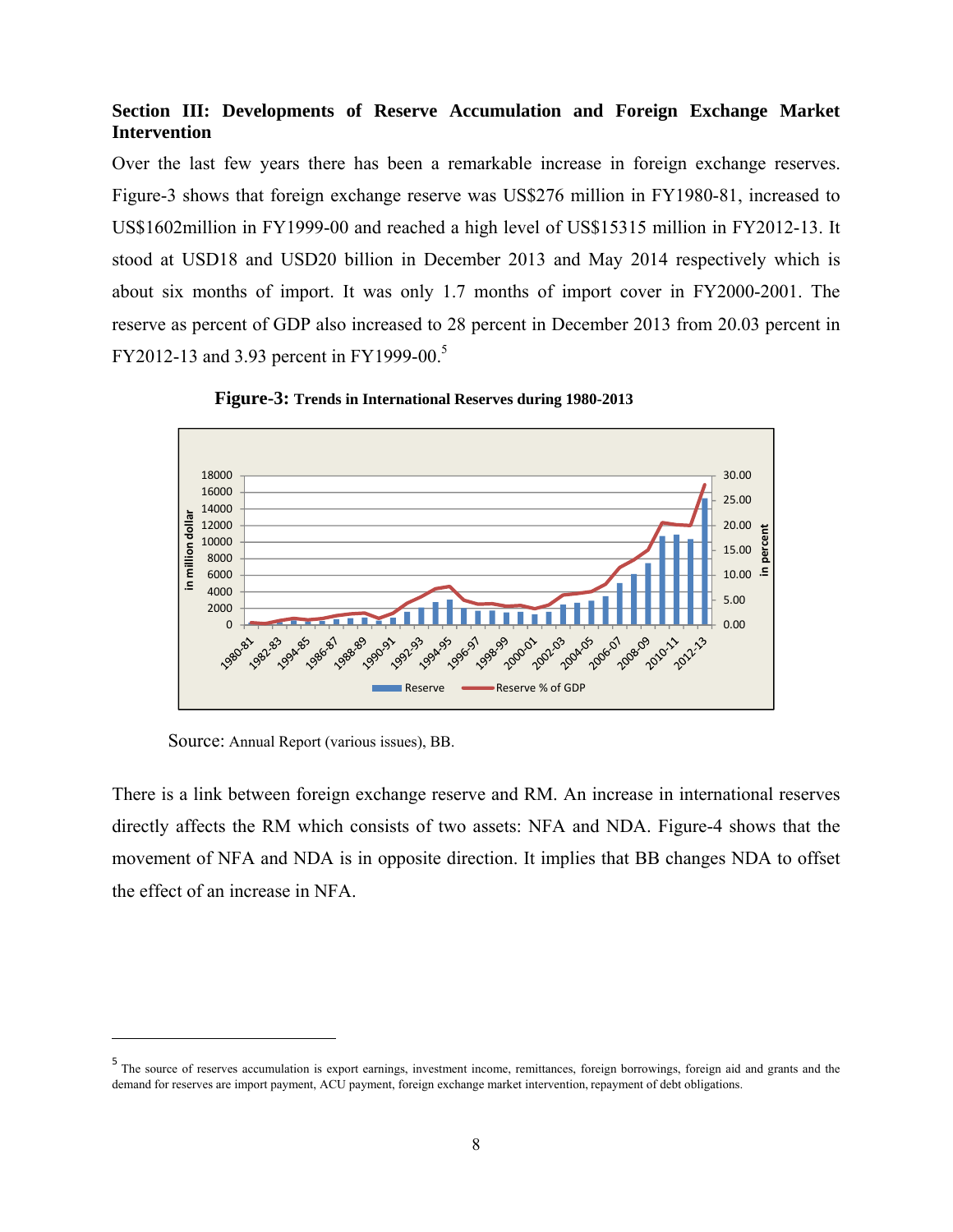# **Section III: Developments of Reserve Accumulation and Foreign Exchange Market Intervention**

Over the last few years there has been a remarkable increase in foreign exchange reserves. Figure-3 shows that foreign exchange reserve was US\$276 million in FY1980-81, increased to US\$1602million in FY1999-00 and reached a high level of US\$15315 million in FY2012-13. It stood at USD18 and USD20 billion in December 2013 and May 2014 respectively which is about six months of import. It was only 1.7 months of import cover in FY2000-2001. The reserve as percent of GDP also increased to 28 percent in December 2013 from 20.03 percent in FY2012-13 and 3.93 percent in FY1999-00.<sup>5</sup>



**Figure-3: Trends in International Reserves during 1980-2013**

Source: Annual Report (various issues), BB.

 $\overline{a}$ 

There is a link between foreign exchange reserve and RM. An increase in international reserves directly affects the RM which consists of two assets: NFA and NDA. Figure-4 shows that the movement of NFA and NDA is in opposite direction. It implies that BB changes NDA to offset the effect of an increase in NFA.

<sup>5</sup> The source of reserves accumulation is export earnings, investment income, remittances, foreign borrowings, foreign aid and grants and the demand for reserves are import payment, ACU payment, foreign exchange market intervention, repayment of debt obligations.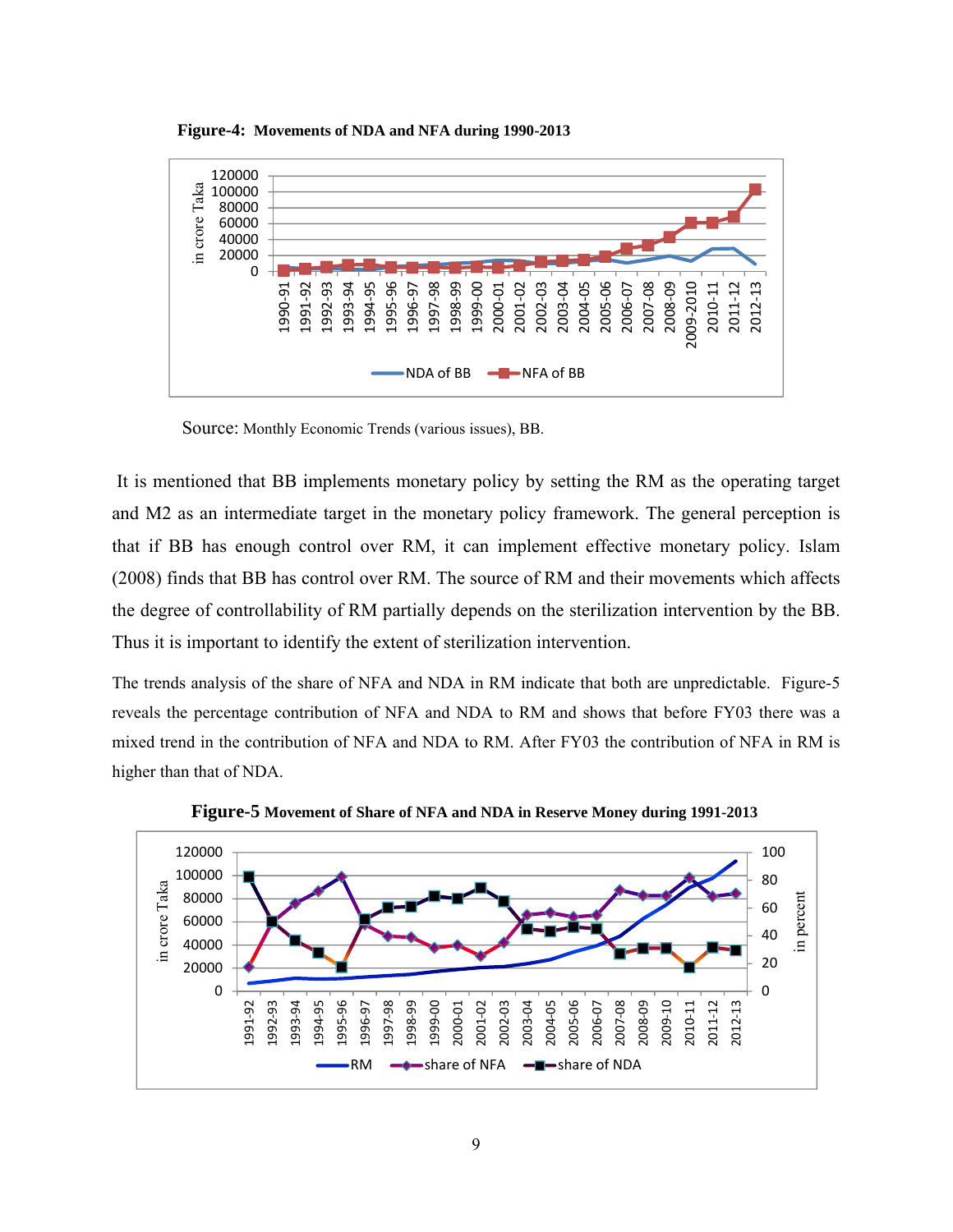

**Figure-4: Movements of NDA and NFA during 1990-2013**

Source: Monthly Economic Trends (various issues), BB.

 It is mentioned that BB implements monetary policy by setting the RM as the operating target and M2 as an intermediate target in the monetary policy framework. The general perception is that if BB has enough control over RM, it can implement effective monetary policy. Islam (2008) finds that BB has control over RM. The source of RM and their movements which affects the degree of controllability of RM partially depends on the sterilization intervention by the BB. Thus it is important to identify the extent of sterilization intervention.

The trends analysis of the share of NFA and NDA in RM indicate that both are unpredictable. Figure-5 reveals the percentage contribution of NFA and NDA to RM and shows that before FY03 there was a mixed trend in the contribution of NFA and NDA to RM. After FY03 the contribution of NFA in RM is higher than that of NDA.



**Figure-5 Movement of Share of NFA and NDA in Reserve Money during 1991-2013**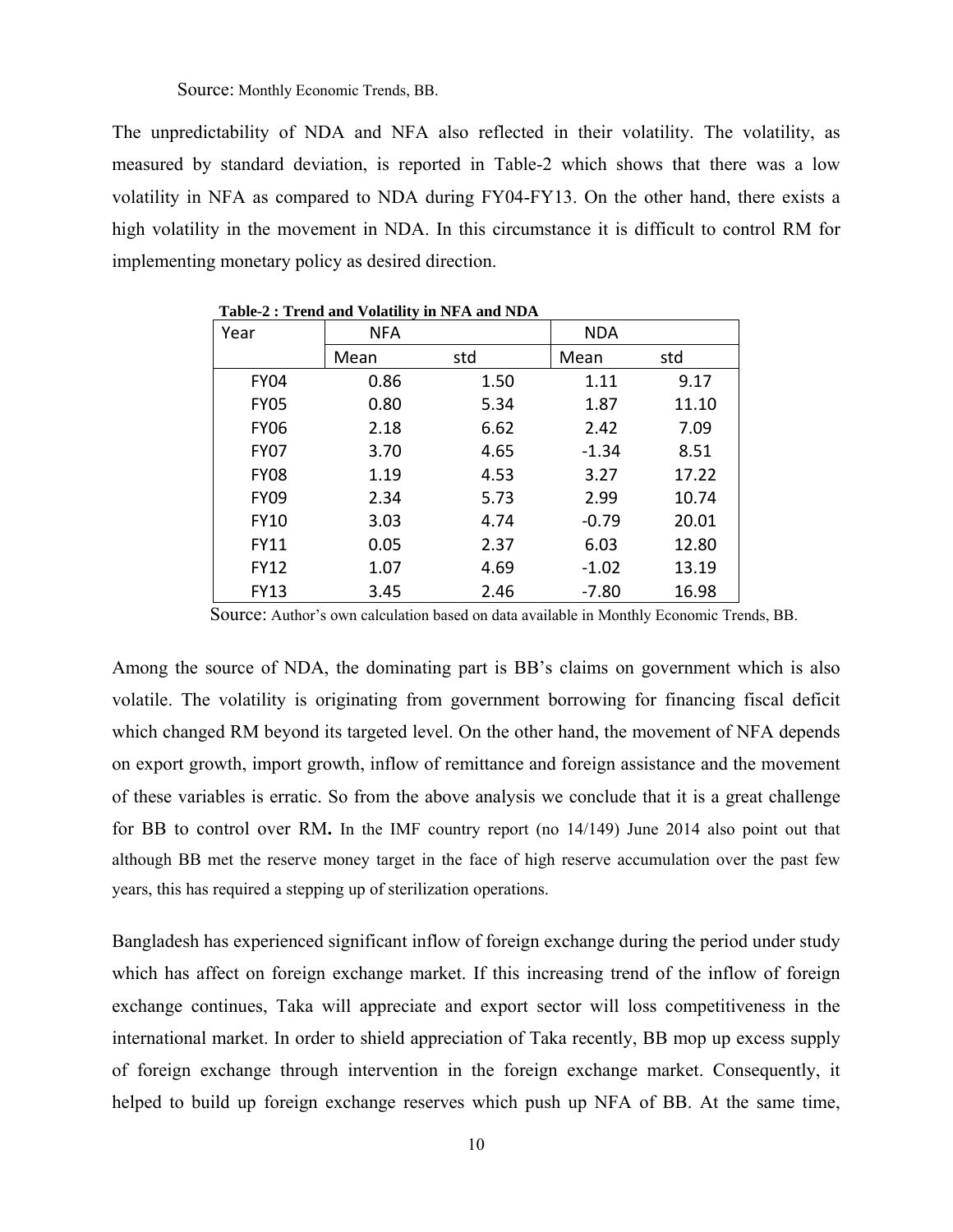Source: Monthly Economic Trends, BB.

The unpredictability of NDA and NFA also reflected in their volatility. The volatility, as measured by standard deviation, is reported in Table-2 which shows that there was a low volatility in NFA as compared to NDA during FY04-FY13. On the other hand, there exists a high volatility in the movement in NDA. In this circumstance it is difficult to control RM for implementing monetary policy as desired direction.

| Year        | <b>NFA</b> |      | <b>NDA</b> |       |
|-------------|------------|------|------------|-------|
|             | Mean       | std  | Mean       | std   |
| <b>FY04</b> | 0.86       | 1.50 | 1.11       | 9.17  |
| <b>FY05</b> | 0.80       | 5.34 | 1.87       | 11.10 |
| <b>FY06</b> | 2.18       | 6.62 | 2.42       | 7.09  |
| <b>FY07</b> | 3.70       | 4.65 | $-1.34$    | 8.51  |
| <b>FY08</b> | 1.19       | 4.53 | 3.27       | 17.22 |
| <b>FY09</b> | 2.34       | 5.73 | 2.99       | 10.74 |
| <b>FY10</b> | 3.03       | 4.74 | $-0.79$    | 20.01 |
| <b>FY11</b> | 0.05       | 2.37 | 6.03       | 12.80 |
| <b>FY12</b> | 1.07       | 4.69 | $-1.02$    | 13.19 |
| <b>FY13</b> | 3.45       | 2.46 | $-7.80$    | 16.98 |

 **Table-2 : Trend and Volatility in NFA and NDA**

Source: Author's own calculation based on data available in Monthly Economic Trends, BB.

Among the source of NDA, the dominating part is BB's claims on government which is also volatile. The volatility is originating from government borrowing for financing fiscal deficit which changed RM beyond its targeted level. On the other hand, the movement of NFA depends on export growth, import growth, inflow of remittance and foreign assistance and the movement of these variables is erratic. So from the above analysis we conclude that it is a great challenge for BB to control over RM**.** In the IMF country report (no 14/149) June 2014 also point out that although BB met the reserve money target in the face of high reserve accumulation over the past few years, this has required a stepping up of sterilization operations.

Bangladesh has experienced significant inflow of foreign exchange during the period under study which has affect on foreign exchange market. If this increasing trend of the inflow of foreign exchange continues, Taka will appreciate and export sector will loss competitiveness in the international market. In order to shield appreciation of Taka recently, BB mop up excess supply of foreign exchange through intervention in the foreign exchange market. Consequently, it helped to build up foreign exchange reserves which push up NFA of BB. At the same time,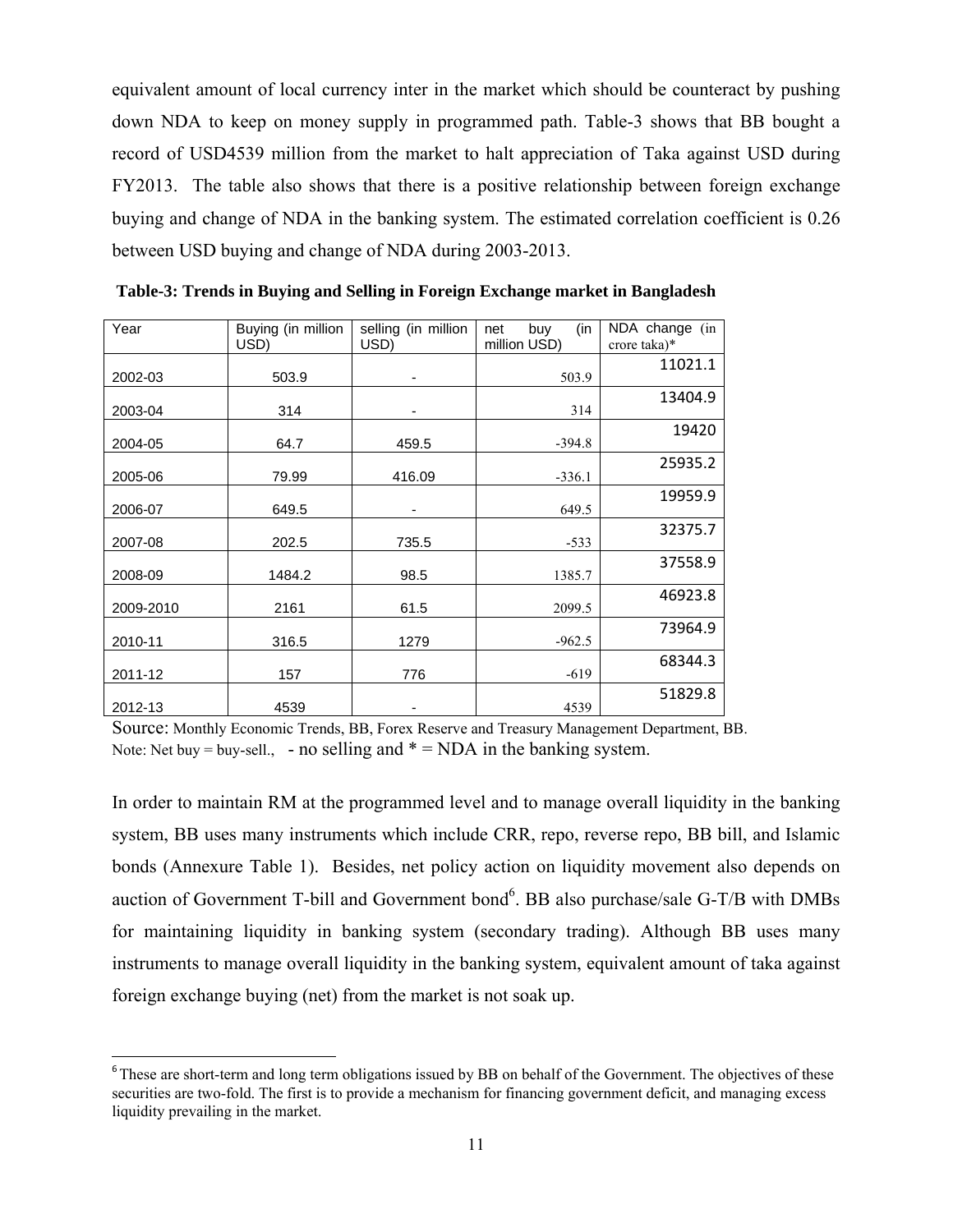equivalent amount of local currency inter in the market which should be counteract by pushing down NDA to keep on money supply in programmed path. Table-3 shows that BB bought a record of USD4539 million from the market to halt appreciation of Taka against USD during FY2013. The table also shows that there is a positive relationship between foreign exchange buying and change of NDA in the banking system. The estimated correlation coefficient is 0.26 between USD buying and change of NDA during 2003-2013.

| Year      | Buying (in million<br>USD) | selling (in million<br>USD) | (in<br>buy<br>net<br>million USD) | NDA change (in<br>crore taka)* |
|-----------|----------------------------|-----------------------------|-----------------------------------|--------------------------------|
| 2002-03   | 503.9                      |                             | 503.9                             | 11021.1                        |
| 2003-04   | 314                        |                             | 314                               | 13404.9                        |
| 2004-05   | 64.7                       | 459.5                       | $-394.8$                          | 19420                          |
| 2005-06   | 79.99                      | 416.09                      | $-336.1$                          | 25935.2                        |
| 2006-07   | 649.5                      | -                           | 649.5                             | 19959.9                        |
| 2007-08   | 202.5                      | 735.5                       | $-533$                            | 32375.7                        |
| 2008-09   | 1484.2                     | 98.5                        | 1385.7                            | 37558.9                        |
| 2009-2010 | 2161                       | 61.5                        | 2099.5                            | 46923.8                        |
| 2010-11   | 316.5                      | 1279                        | $-962.5$                          | 73964.9                        |
| 2011-12   | 157                        | 776                         | $-619$                            | 68344.3                        |
| 2012-13   | 4539                       |                             | 4539                              | 51829.8                        |

 **Table-3: Trends in Buying and Selling in Foreign Exchange market in Bangladesh** 

Source: Monthly Economic Trends, BB, Forex Reserve and Treasury Management Department, BB. Note: Net buy = buy-sell., - no selling and  $* = NDA$  in the banking system.

In order to maintain RM at the programmed level and to manage overall liquidity in the banking system, BB uses many instruments which include CRR, repo, reverse repo, BB bill, and Islamic bonds (Annexure Table 1). Besides, net policy action on liquidity movement also depends on auction of Government T-bill and Government bond $6$ . BB also purchase/sale G-T/B with DMBs for maintaining liquidity in banking system (secondary trading). Although BB uses many instruments to manage overall liquidity in the banking system, equivalent amount of taka against foreign exchange buying (net) from the market is not soak up.

1

<sup>&</sup>lt;sup>6</sup>These are short-term and long term obligations issued by BB on behalf of the Government. The objectives of these securities are two-fold. The first is to provide a mechanism for financing government deficit, and managing excess liquidity prevailing in the market.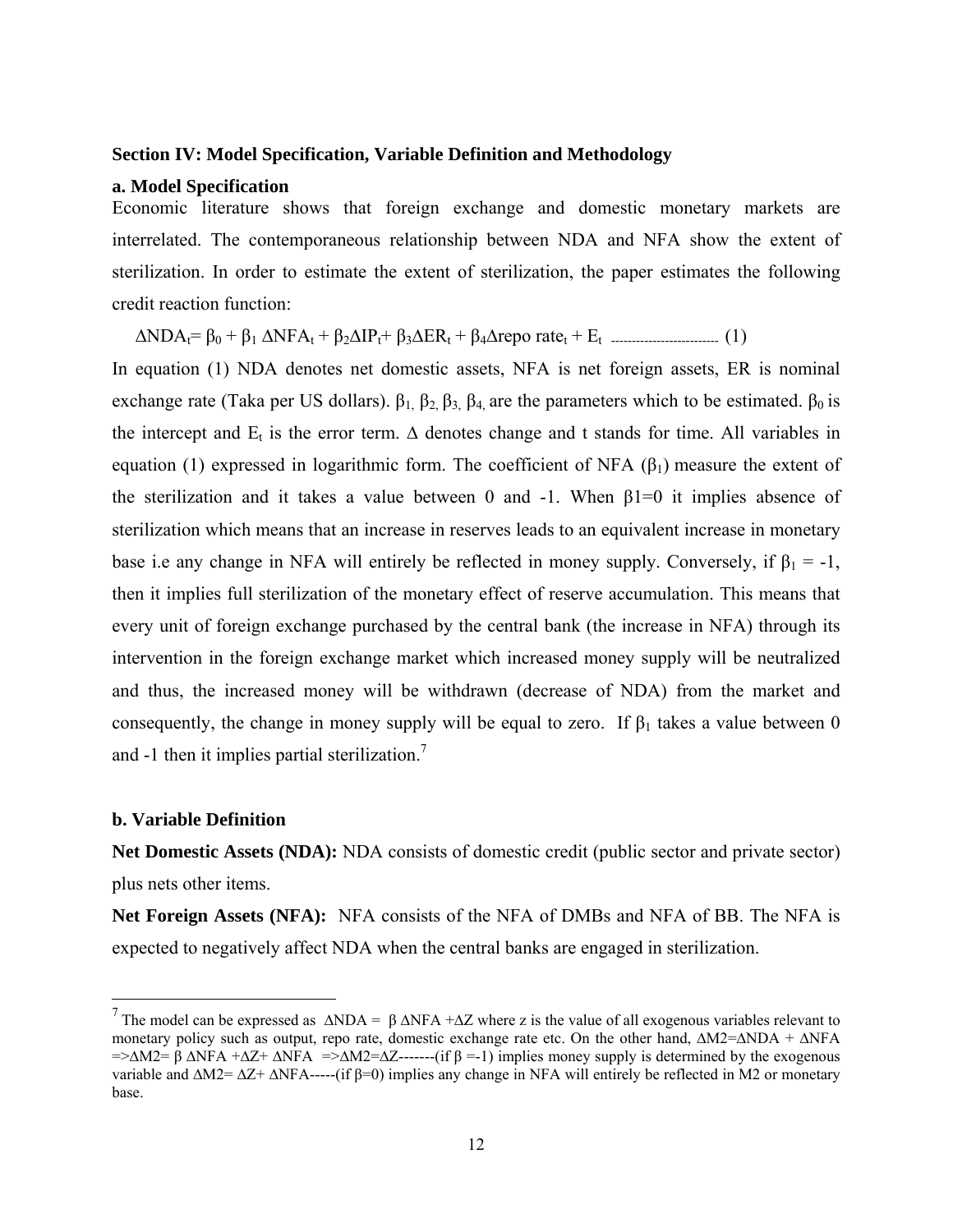#### **Section IV: Model Specification, Variable Definition and Methodology**

#### **a. Model Specification**

Economic literature shows that foreign exchange and domestic monetary markets are interrelated. The contemporaneous relationship between NDA and NFA show the extent of sterilization. In order to estimate the extent of sterilization, the paper estimates the following credit reaction function:

∆NDAt= β0 + β<sup>1</sup> ∆NFAt + β2∆IPt+ β3∆ERt + β4∆repo ratet + Et -------------------------- (1)

In equation (1) NDA denotes net domestic assets, NFA is net foreign assets, ER is nominal exchange rate (Taka per US dollars).  $β_1$ ,  $β_2$ ,  $β_3$ ,  $β_4$ , are the parameters which to be estimated.  $β_0$  is the intercept and  $E_t$  is the error term.  $\Delta$  denotes change and t stands for time. All variables in equation (1) expressed in logarithmic form. The coefficient of NFA  $(\beta_1)$  measure the extent of the sterilization and it takes a value between 0 and -1. When  $\beta$ 1=0 it implies absence of sterilization which means that an increase in reserves leads to an equivalent increase in monetary base i.e any change in NFA will entirely be reflected in money supply. Conversely, if  $\beta_1 = -1$ , then it implies full sterilization of the monetary effect of reserve accumulation. This means that every unit of foreign exchange purchased by the central bank (the increase in NFA) through its intervention in the foreign exchange market which increased money supply will be neutralized and thus, the increased money will be withdrawn (decrease of NDA) from the market and consequently, the change in money supply will be equal to zero. If  $\beta_1$  takes a value between 0 and  $-1$  then it implies partial sterilization.<sup>7</sup>

#### **b. Variable Definition**

 $\overline{a}$ 

**Net Domestic Assets (NDA):** NDA consists of domestic credit (public sector and private sector) plus nets other items.

**Net Foreign Assets (NFA):** NFA consists of the NFA of DMBs and NFA of BB. The NFA is expected to negatively affect NDA when the central banks are engaged in sterilization.

<sup>&</sup>lt;sup>7</sup> The model can be expressed as  $\triangle NDA = \beta \triangle NFA + \triangle Z$  where z is the value of all exogenous variables relevant to monetary policy such as output, repo rate, domestic exchange rate etc. On the other hand, ∆M2=∆NDA + ∆NFA  $=\geq\Delta M2=\beta\Delta NFA + \Delta Z+\Delta NFA = \geq\Delta M2=\Delta Z$ -------(if β =-1) implies money supply is determined by the exogenous variable and ∆M2= ∆Z+ ∆NFA-----(if β=0) implies any change in NFA will entirely be reflected in M2 or monetary base.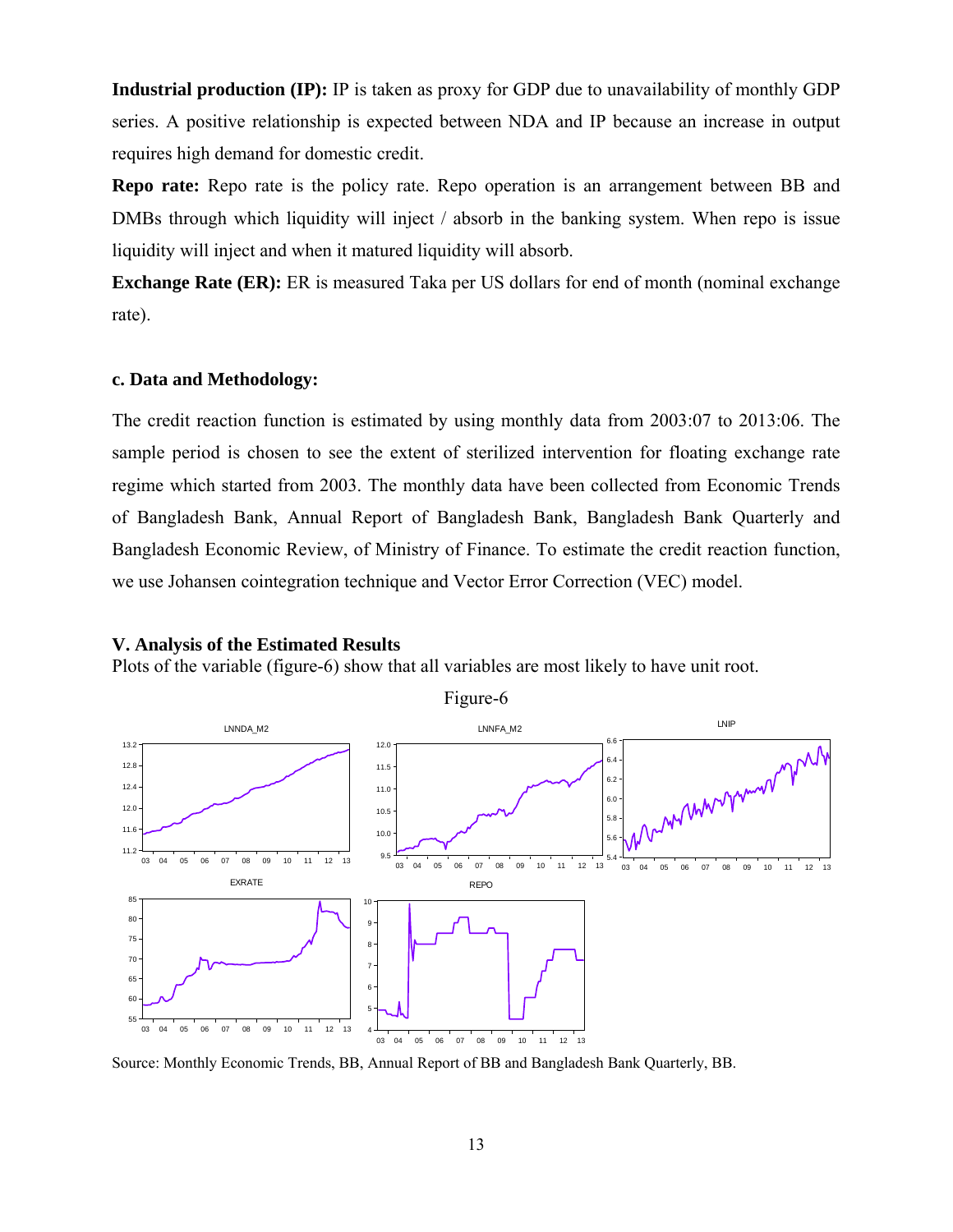**Industrial production (IP):** IP is taken as proxy for GDP due to unavailability of monthly GDP series. A positive relationship is expected between NDA and IP because an increase in output requires high demand for domestic credit.

**Repo rate:** Repo rate is the policy rate. Repo operation is an arrangement between BB and DMBs through which liquidity will inject / absorb in the banking system. When repo is issue liquidity will inject and when it matured liquidity will absorb.

**Exchange Rate (ER):** ER is measured Taka per US dollars for end of month (nominal exchange rate).

### **c. Data and Methodology:**

The credit reaction function is estimated by using monthly data from 2003:07 to 2013:06. The sample period is chosen to see the extent of sterilized intervention for floating exchange rate regime which started from 2003. The monthly data have been collected from Economic Trends of Bangladesh Bank, Annual Report of Bangladesh Bank, Bangladesh Bank Quarterly and Bangladesh Economic Review, of Ministry of Finance. To estimate the credit reaction function, we use Johansen cointegration technique and Vector Error Correction (VEC) model.

#### **V. Analysis of the Estimated Results**

Plots of the variable (figure-6) show that all variables are most likely to have unit root.



Figure-6

Source: Monthly Economic Trends, BB, Annual Report of BB and Bangladesh Bank Quarterly, BB.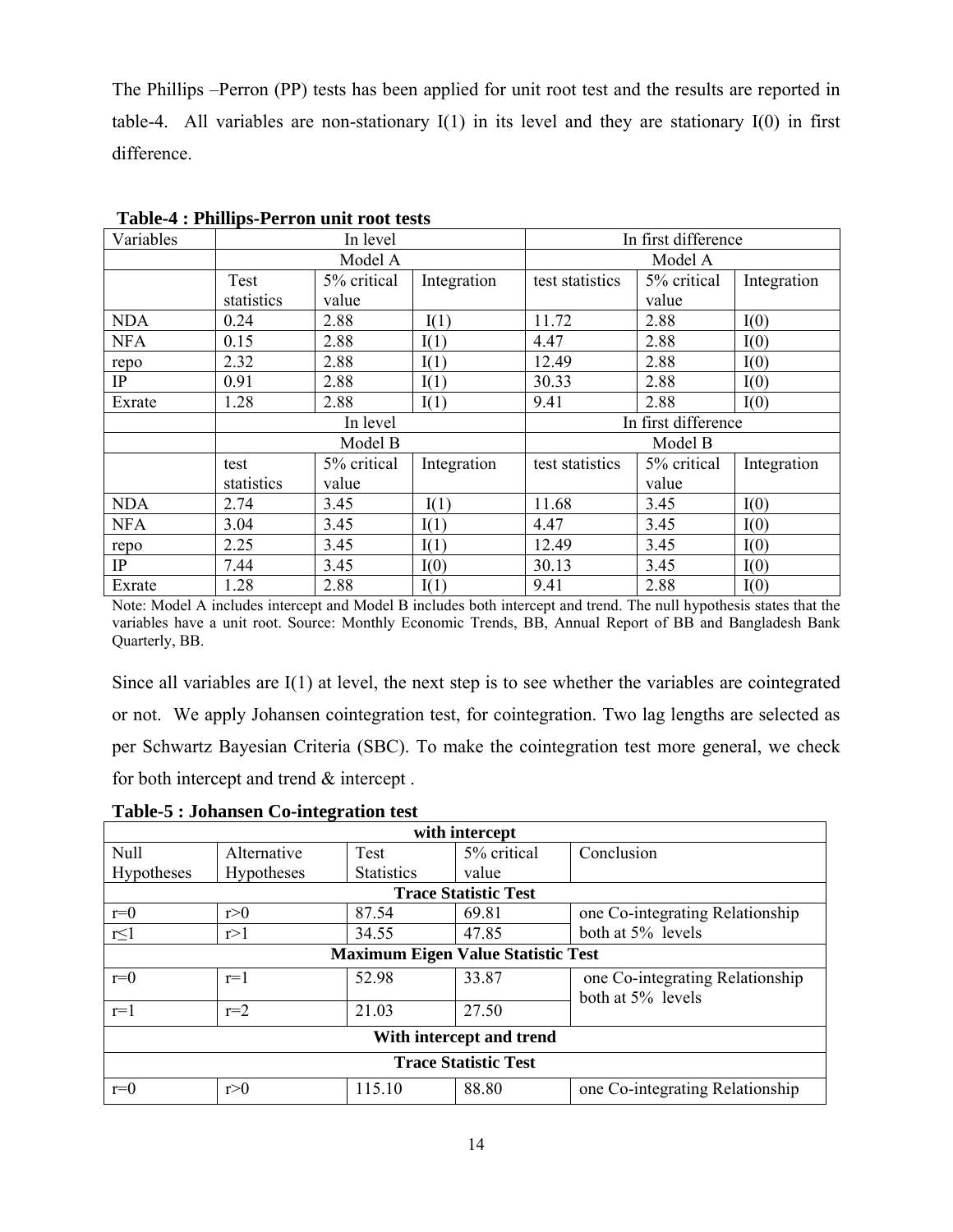The Phillips –Perron (PP) tests has been applied for unit root test and the results are reported in table-4. All variables are non-stationary I(1) in its level and they are stationary I(0) in first difference.

| Variables  | In level   |             |             | In first difference |             |             |  |
|------------|------------|-------------|-------------|---------------------|-------------|-------------|--|
|            |            | Model A     |             | Model A             |             |             |  |
|            | Test       | 5% critical | Integration | test statistics     | 5% critical | Integration |  |
|            | statistics | value       |             |                     | value       |             |  |
| <b>NDA</b> | 0.24       | 2.88        | I(1)        | 11.72               | 2.88        | I(0)        |  |
| <b>NFA</b> | 0.15       | 2.88        | I(1)        | 4.47                | 2.88        | I(0)        |  |
| repo       | 2.32       | 2.88        | I(1)        | 12.49               | 2.88        | I(0)        |  |
| IP         | 0.91       | 2.88        | I(1)        | 30.33               | 2.88        | I(0)        |  |
| Exrate     | 1.28       | 2.88        | I(1)        | 9.41                | 2.88        | I(0)        |  |
|            | In level   |             |             | In first difference |             |             |  |
|            |            | Model B     |             | Model B             |             |             |  |
|            | test       | 5% critical | Integration | test statistics     | 5% critical | Integration |  |
|            | statistics | value       |             |                     | value       |             |  |
| <b>NDA</b> | 2.74       | 3.45        | I(1)        | 11.68               | 3.45        | I(0)        |  |
| <b>NFA</b> | 3.04       | 3.45        | I(1)        | 4.47                | 3.45        | I(0)        |  |
| repo       | 2.25       | 3.45        | I(1)        | 12.49               | 3.45        | I(0)        |  |
| IP         | 7.44       | 3.45        | I(0)        | 30.13               | 3.45        | I(0)        |  |
| Exrate     | 1.28       | 2.88        | I(1)        | 9.41                | 2.88        | I(0)        |  |

**Table-4 : Phillips-Perron unit root tests**

Note: Model A includes intercept and Model B includes both intercept and trend. The null hypothesis states that the variables have a unit root. Source: Monthly Economic Trends, BB, Annual Report of BB and Bangladesh Bank Quarterly, BB.

Since all variables are I(1) at level, the next step is to see whether the variables are cointegrated or not. We apply Johansen cointegration test, for cointegration. Two lag lengths are selected as per Schwartz Bayesian Criteria (SBC). To make the cointegration test more general, we check for both intercept and trend & intercept .

| <b>Table-5: Johansen Co-integration test</b> |
|----------------------------------------------|
|                                              |

| with intercept                            |                   |                   |             |                                                      |  |  |
|-------------------------------------------|-------------------|-------------------|-------------|------------------------------------------------------|--|--|
| Null                                      | Alternative       | Test              | 5% critical | Conclusion                                           |  |  |
| Hypotheses                                | <b>Hypotheses</b> | <b>Statistics</b> | value       |                                                      |  |  |
| <b>Trace Statistic Test</b>               |                   |                   |             |                                                      |  |  |
| $r=0$                                     | r>0               | 87.54             | 69.81       | one Co-integrating Relationship                      |  |  |
| $r \leq 1$                                | r > 1             | 34.55             | 47.85       | both at 5% levels                                    |  |  |
| <b>Maximum Eigen Value Statistic Test</b> |                   |                   |             |                                                      |  |  |
| $r=0$                                     | $r=1$             | 52.98             | 33.87       | one Co-integrating Relationship<br>both at 5% levels |  |  |
| $r=1$                                     | $r=2$             | 21.03             | 27.50       |                                                      |  |  |
| With intercept and trend                  |                   |                   |             |                                                      |  |  |
| <b>Trace Statistic Test</b>               |                   |                   |             |                                                      |  |  |
| $r=0$                                     | r>0               | 115.10            | 88.80       | one Co-integrating Relationship                      |  |  |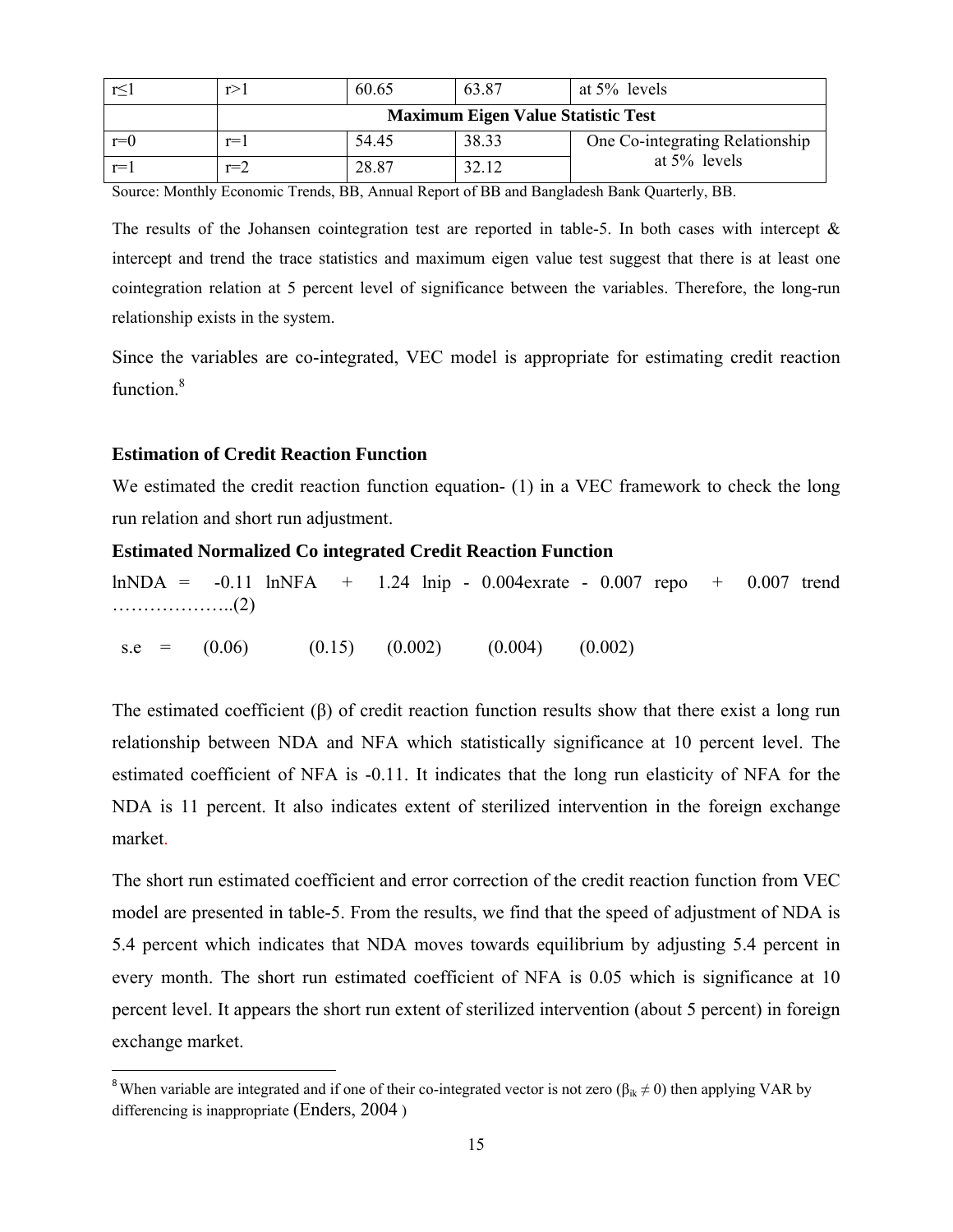|       |       | 60.65 | 63.87                                     | at $5\%$ levels                 |
|-------|-------|-------|-------------------------------------------|---------------------------------|
|       |       |       | <b>Maximum Eigen Value Statistic Test</b> |                                 |
| $r=0$ | $r =$ | 54.45 | 38.33                                     | One Co-integrating Relationship |
| $r =$ | $r=2$ | 28.87 | 32.12                                     | at $5\%$ levels                 |

Source: Monthly Economic Trends, BB, Annual Report of BB and Bangladesh Bank Quarterly, BB.

The results of the Johansen cointegration test are reported in table-5. In both cases with intercept  $\&$ intercept and trend the trace statistics and maximum eigen value test suggest that there is at least one cointegration relation at 5 percent level of significance between the variables. Therefore, the long-run relationship exists in the system.

Since the variables are co-integrated, VEC model is appropriate for estimating credit reaction function<sup>8</sup>

### **Estimation of Credit Reaction Function**

We estimated the credit reaction function equation- (1) in a VEC framework to check the long run relation and short run adjustment.

## **Estimated Normalized Co integrated Credit Reaction Function**

 $ln NDA = -0.11$   $ln NFA + 1.24$   $lnip - 0.004$  exrate - 0.007 repo + 0.007 trend ………………..(2)  $s.e = (0.06)$   $(0.15)$   $(0.002)$   $(0.004)$   $(0.002)$ 

The estimated coefficient (β) of credit reaction function results show that there exist a long run relationship between NDA and NFA which statistically significance at 10 percent level. The estimated coefficient of NFA is -0.11. It indicates that the long run elasticity of NFA for the NDA is 11 percent. It also indicates extent of sterilized intervention in the foreign exchange market.

The short run estimated coefficient and error correction of the credit reaction function from VEC model are presented in table-5. From the results, we find that the speed of adjustment of NDA is 5.4 percent which indicates that NDA moves towards equilibrium by adjusting 5.4 percent in every month. The short run estimated coefficient of NFA is 0.05 which is significance at 10 percent level. It appears the short run extent of sterilized intervention (about 5 percent) in foreign exchange market.

<sup>&</sup>lt;sup>8</sup>When variable are integrated and if one of their co-integrated vector is not zero ( $\beta_{ik} \neq 0$ ) then applying VAR by differencing is inappropriate (Enders, 2004 )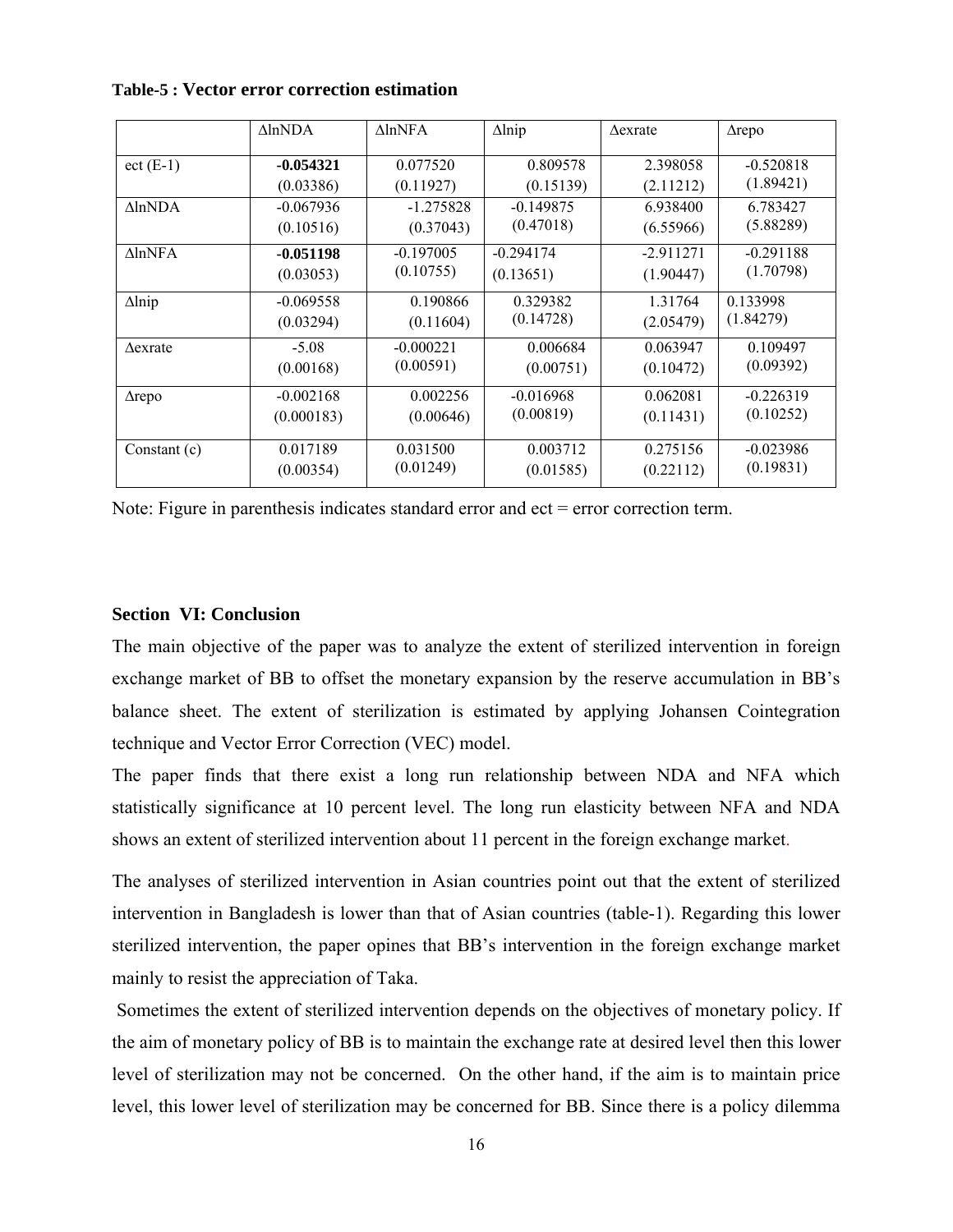| <b>Table-5: Vector error correction estimation</b> |  |  |  |  |  |
|----------------------------------------------------|--|--|--|--|--|
|----------------------------------------------------|--|--|--|--|--|

|                    | $\Delta$ lnNDA | $\triangle$ lnNFA | $\Delta$ lnip | $\Delta$ exrate | $\triangle$ repo |
|--------------------|----------------|-------------------|---------------|-----------------|------------------|
| $ect$ (E-1)        | $-0.054321$    | 0.077520          | 0.809578      | 2.398058        | $-0.520818$      |
|                    | (0.03386)      | (0.11927)         | (0.15139)     | (2.11212)       | (1.89421)        |
| $\Lambda$ ln $NDA$ | $-0.067936$    | $-1.275828$       | $-0.149875$   | 6.938400        | 6.783427         |
|                    | (0.10516)      | (0.37043)         | (0.47018)     | (6.55966)       | (5.88289)        |
| $\Lambda$ lnNFA    | $-0.051198$    | $-0.197005$       | $-0.294174$   | $-2.911271$     | $-0.291188$      |
|                    | (0.03053)      | (0.10755)         | (0.13651)     | (1.90447)       | (1.70798)        |
| $\Delta$ lnip      | $-0.069558$    | 0.190866          | 0.329382      | 1.31764         | 0.133998         |
|                    | (0.03294)      | (0.11604)         | (0.14728)     | (2.05479)       | (1.84279)        |
| $\Delta$ exrate    | $-5.08$        | $-0.000221$       | 0.006684      | 0.063947        | 0.109497         |
|                    | (0.00168)      | (0.00591)         | (0.00751)     | (0.10472)       | (0.09392)        |
| $\triangle$ repo   | $-0.002168$    | 0.002256          | $-0.016968$   | 0.062081        | $-0.226319$      |
|                    | (0.000183)     | (0.00646)         | (0.00819)     | (0.11431)       | (0.10252)        |
| Constant (c)       | 0.017189       | 0.031500          | 0.003712      | 0.275156        | $-0.023986$      |
|                    | (0.00354)      | (0.01249)         | (0.01585)     | (0.22112)       | (0.19831)        |

Note: Figure in parenthesis indicates standard error and ect = error correction term.

## **Section VI: Conclusion**

The main objective of the paper was to analyze the extent of sterilized intervention in foreign exchange market of BB to offset the monetary expansion by the reserve accumulation in BB's balance sheet. The extent of sterilization is estimated by applying Johansen Cointegration technique and Vector Error Correction (VEC) model.

The paper finds that there exist a long run relationship between NDA and NFA which statistically significance at 10 percent level. The long run elasticity between NFA and NDA shows an extent of sterilized intervention about 11 percent in the foreign exchange market.

The analyses of sterilized intervention in Asian countries point out that the extent of sterilized intervention in Bangladesh is lower than that of Asian countries (table-1). Regarding this lower sterilized intervention, the paper opines that BB's intervention in the foreign exchange market mainly to resist the appreciation of Taka.

 Sometimes the extent of sterilized intervention depends on the objectives of monetary policy. If the aim of monetary policy of BB is to maintain the exchange rate at desired level then this lower level of sterilization may not be concerned. On the other hand, if the aim is to maintain price level, this lower level of sterilization may be concerned for BB. Since there is a policy dilemma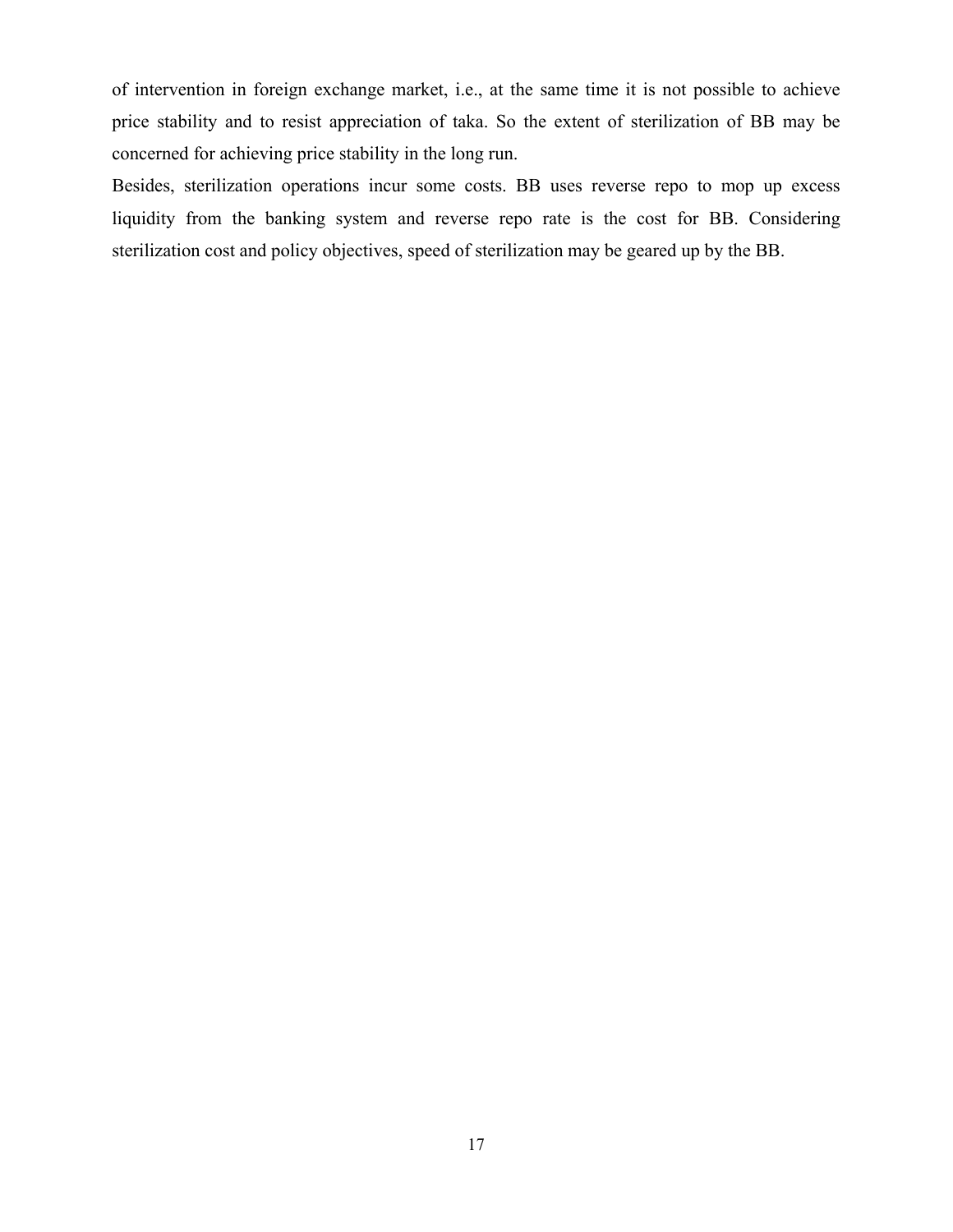of intervention in foreign exchange market, i.e., at the same time it is not possible to achieve price stability and to resist appreciation of taka. So the extent of sterilization of BB may be concerned for achieving price stability in the long run.

Besides, sterilization operations incur some costs. BB uses reverse repo to mop up excess liquidity from the banking system and reverse repo rate is the cost for BB. Considering sterilization cost and policy objectives, speed of sterilization may be geared up by the BB.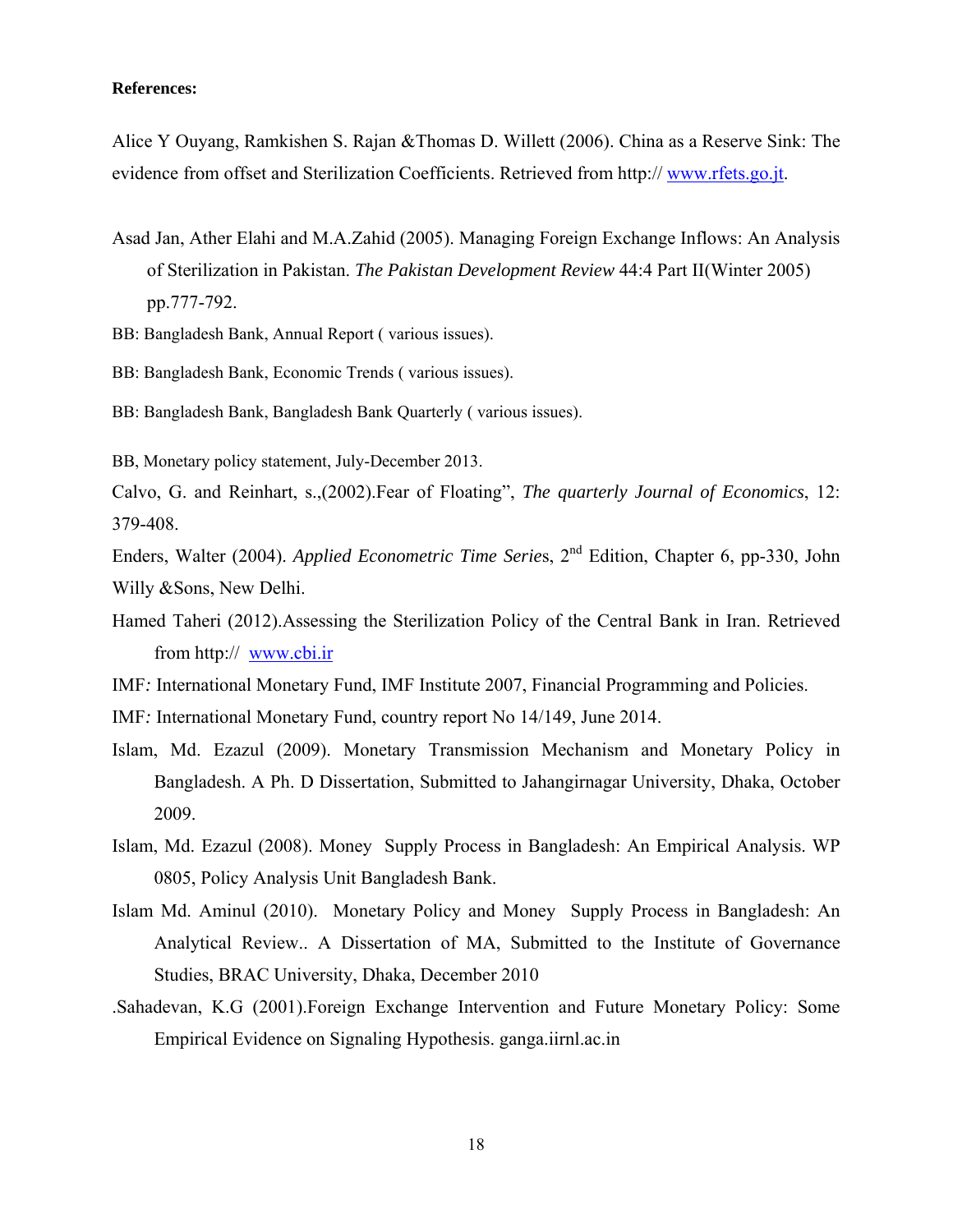#### **References:**

Alice Y Ouyang, Ramkishen S. Rajan &Thomas D. Willett (2006). China as a Reserve Sink: The evidence from offset and Sterilization Coefficients. Retrieved from http:// www.rfets.go.jt.

- Asad Jan, Ather Elahi and M.A.Zahid (2005). Managing Foreign Exchange Inflows: An Analysis of Sterilization in Pakistan. *The Pakistan Development Review* 44:4 Part II(Winter 2005) pp.777-792.
- BB: Bangladesh Bank, Annual Report ( various issues).
- BB: Bangladesh Bank, Economic Trends ( various issues).
- BB: Bangladesh Bank, Bangladesh Bank Quarterly ( various issues).
- BB, Monetary policy statement, July-December 2013.

Calvo, G. and Reinhart, s.,(2002).Fear of Floating", *The quarterly Journal of Economics*, 12: 379-408.

Enders, Walter (2004). *Applied Econometric Time Serie*s, 2nd Edition, Chapter 6, pp-330, John Willy &Sons, New Delhi.

- Hamed Taheri (2012).Assessing the Sterilization Policy of the Central Bank in Iran. Retrieved from http:// www.cbi.ir
- IMF*:* International Monetary Fund, IMF Institute 2007, Financial Programming and Policies.

IMF*:* International Monetary Fund, country report No 14/149, June 2014.

- Islam, Md. Ezazul (2009). Monetary Transmission Mechanism and Monetary Policy in Bangladesh. A Ph. D Dissertation, Submitted to Jahangirnagar University, Dhaka, October 2009.
- Islam, Md. Ezazul (2008). Money Supply Process in Bangladesh: An Empirical Analysis. WP 0805, Policy Analysis Unit Bangladesh Bank.
- Islam Md. Aminul (2010). Monetary Policy and Money Supply Process in Bangladesh: An Analytical Review.. A Dissertation of MA, Submitted to the Institute of Governance Studies, BRAC University, Dhaka, December 2010
- .Sahadevan, K.G (2001).Foreign Exchange Intervention and Future Monetary Policy: Some Empirical Evidence on Signaling Hypothesis. ganga.iirnl.ac.in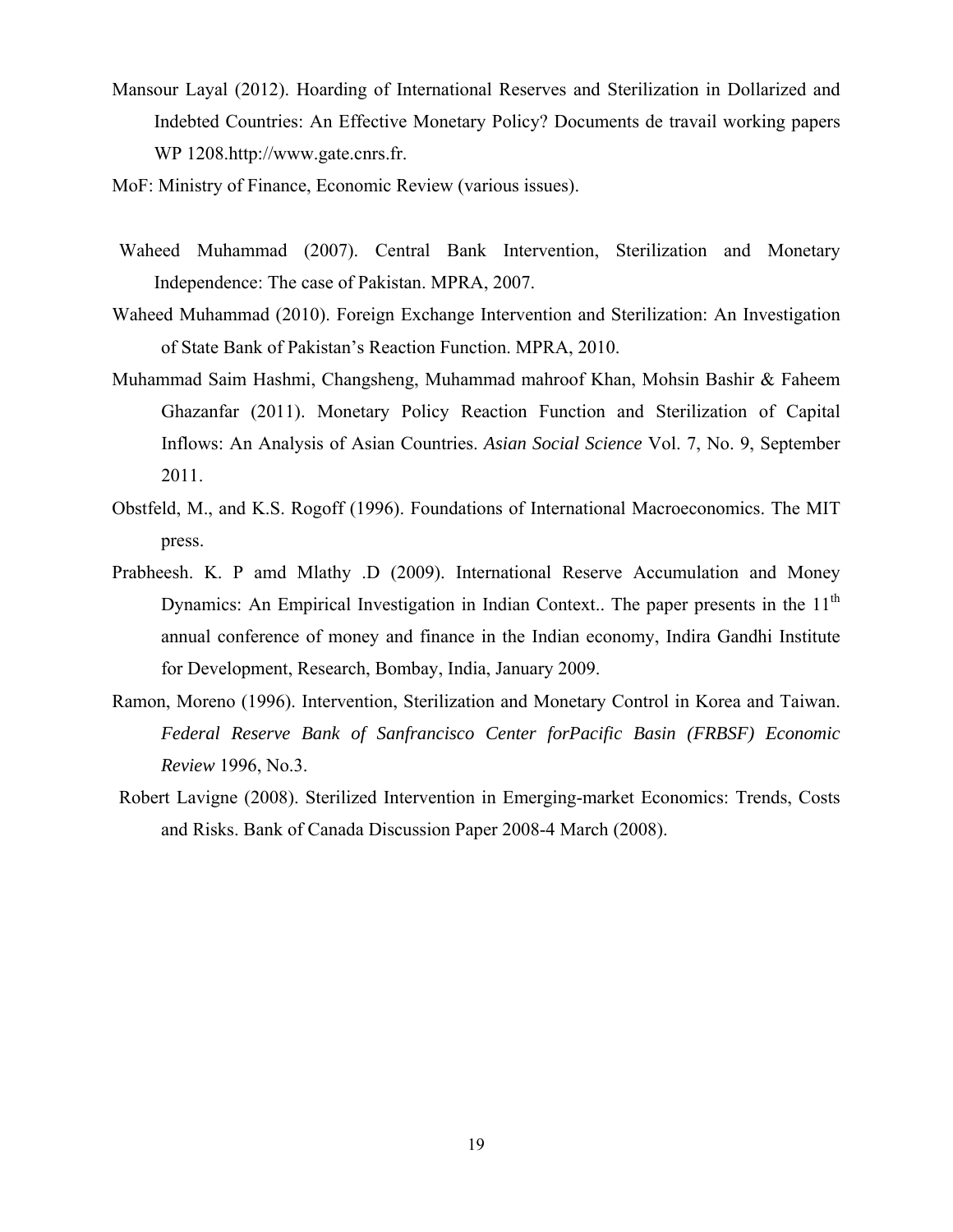- Mansour Layal (2012). Hoarding of International Reserves and Sterilization in Dollarized and Indebted Countries: An Effective Monetary Policy? Documents de travail working papers WP 1208.http://www.gate.cnrs.fr.
- MoF: Ministry of Finance, Economic Review (various issues).
- Waheed Muhammad (2007). Central Bank Intervention, Sterilization and Monetary Independence: The case of Pakistan. MPRA, 2007.
- Waheed Muhammad (2010). Foreign Exchange Intervention and Sterilization: An Investigation of State Bank of Pakistan's Reaction Function. MPRA, 2010.
- Muhammad Saim Hashmi, Changsheng, Muhammad mahroof Khan, Mohsin Bashir & Faheem Ghazanfar (2011). Monetary Policy Reaction Function and Sterilization of Capital Inflows: An Analysis of Asian Countries. *Asian Social Science* Vol. 7, No. 9, September 2011.
- Obstfeld, M., and K.S. Rogoff (1996). Foundations of International Macroeconomics. The MIT press.
- Prabheesh. K. P amd Mlathy .D (2009). International Reserve Accumulation and Money Dynamics: An Empirical Investigation in Indian Context.. The paper presents in the  $11<sup>th</sup>$ annual conference of money and finance in the Indian economy, Indira Gandhi Institute for Development, Research, Bombay, India, January 2009.
- Ramon, Moreno (1996). Intervention, Sterilization and Monetary Control in Korea and Taiwan. *Federal Reserve Bank of Sanfrancisco Center forPacific Basin (FRBSF) Economic Review* 1996, No.3.
- Robert Lavigne (2008). Sterilized Intervention in Emerging-market Economics: Trends, Costs and Risks. Bank of Canada Discussion Paper 2008-4 March (2008).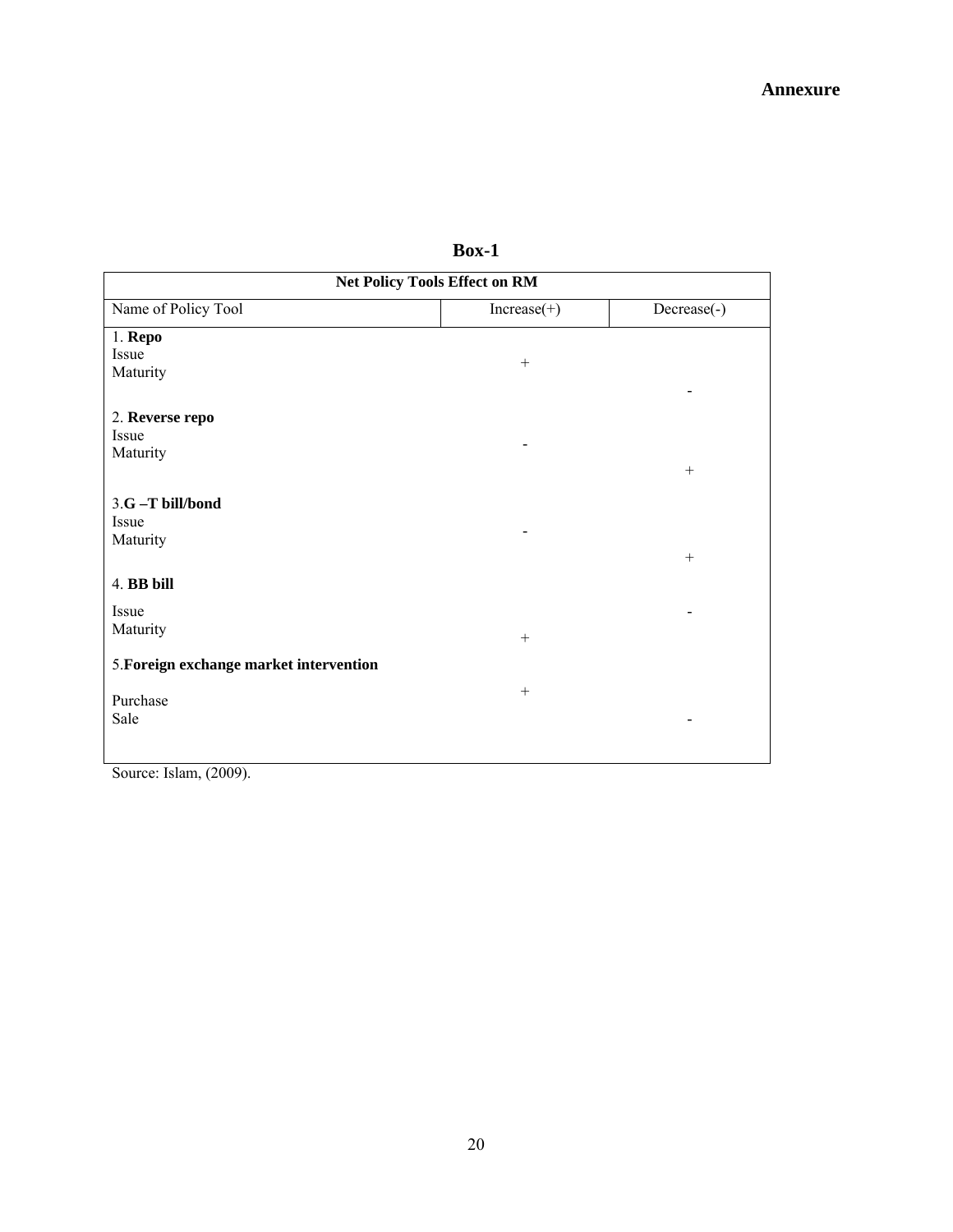| <b>Net Policy Tools Effect on RM</b>    |               |             |  |  |  |
|-----------------------------------------|---------------|-------------|--|--|--|
| Name of Policy Tool                     | $Increase(+)$ | Decrease(-) |  |  |  |
| $1.$ Repo                               |               |             |  |  |  |
| Issue<br>Maturity                       | $^{+}$        |             |  |  |  |
|                                         |               |             |  |  |  |
| 2. Reverse repo                         |               |             |  |  |  |
| Issue<br>Maturity                       |               |             |  |  |  |
|                                         |               | $^{+}$      |  |  |  |
| 3.G-T bill/bond                         |               |             |  |  |  |
| Issue                                   |               |             |  |  |  |
| Maturity                                |               | $+$         |  |  |  |
| 4. BB bill                              |               |             |  |  |  |
| Issue                                   |               |             |  |  |  |
| Maturity                                | $^{+}$        |             |  |  |  |
| 5. Foreign exchange market intervention |               |             |  |  |  |
|                                         | $+$           |             |  |  |  |
| Purchase<br>Sale                        |               |             |  |  |  |
|                                         |               |             |  |  |  |
|                                         |               |             |  |  |  |

**Box-1** 

Source: Islam, (2009).